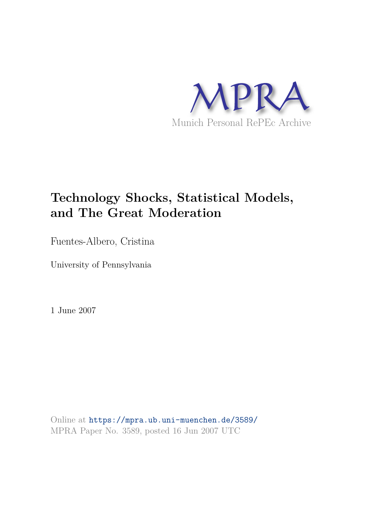

# **Technology Shocks, Statistical Models, and The Great Moderation**

Fuentes-Albero, Cristina

University of Pennsylvania

1 June 2007

Online at https://mpra.ub.uni-muenchen.de/3589/ MPRA Paper No. 3589, posted 16 Jun 2007 UTC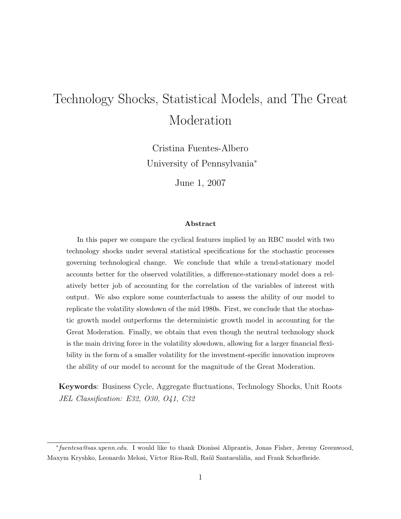# Technology Shocks, Statistical Models, and The Great Moderation

Cristina Fuentes-Albero University of Pennsylvania<sup>∗</sup>

June 1, 2007

#### Abstract

In this paper we compare the cyclical features implied by an RBC model with two technology shocks under several statistical specifications for the stochastic processes governing technological change. We conclude that while a trend-stationary model accounts better for the observed volatilities, a difference-stationary model does a relatively better job of accounting for the correlation of the variables of interest with output. We also explore some counterfactuals to assess the ability of our model to replicate the volatility slowdown of the mid 1980s. First, we conclude that the stochastic growth model outperforms the deterministic growth model in accounting for the Great Moderation. Finally, we obtain that even though the neutral technology shock is the main driving force in the volatility slowdown, allowing for a larger financial flexibility in the form of a smaller volatility for the investment-specific innovation improves the ability of our model to account for the magnitude of the Great Moderation.

Keywords: Business Cycle, Aggregate fluctuations, Technology Shocks, Unit Roots JEL Classification: E32, O30, O41, C32

<sup>∗</sup> fuentesa@sas.upenn.edu. I would like to thank Dionissi Aliprantis, Jonas Fisher, Jeremy Greenwood, Maxym Kryshko, Leonardo Melosi, Víctor Ríos-Rull, Raül Santaeulàlia, and Frank Schorfheide.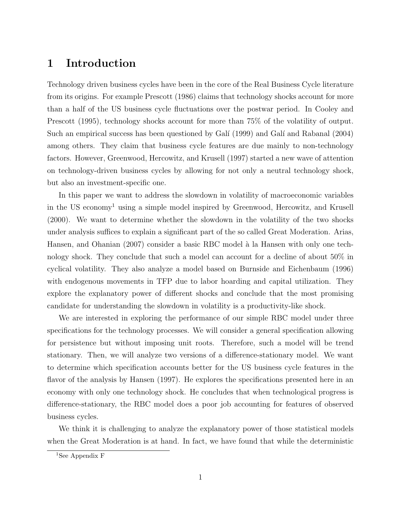### 1 Introduction

Technology driven business cycles have been in the core of the Real Business Cycle literature from its origins. For example Prescott (1986) claims that technology shocks account for more than a half of the US business cycle fluctuations over the postwar period. In Cooley and Prescott (1995), technology shocks account for more than 75% of the volatility of output. Such an empirical success has been questioned by Galí (1999) and Galí and Rabanal (2004) among others. They claim that business cycle features are due mainly to non-technology factors. However, Greenwood, Hercowitz, and Krusell (1997) started a new wave of attention on technology-driven business cycles by allowing for not only a neutral technology shock, but also an investment-specific one.

In this paper we want to address the slowdown in volatility of macroeconomic variables in the US economy<sup>1</sup> using a simple model inspired by Greenwood, Hercowitz, and Krusell (2000). We want to determine whether the slowdown in the volatility of the two shocks under analysis suffices to explain a significant part of the so called Great Moderation. Arias, Hansen, and Ohanian (2007) consider a basic RBC model à la Hansen with only one technology shock. They conclude that such a model can account for a decline of about 50% in cyclical volatility. They also analyze a model based on Burnside and Eichenbaum (1996) with endogenous movements in TFP due to labor hoarding and capital utilization. They explore the explanatory power of different shocks and conclude that the most promising candidate for understanding the slowdown in volatility is a productivity-like shock.

We are interested in exploring the performance of our simple RBC model under three specifications for the technology processes. We will consider a general specification allowing for persistence but without imposing unit roots. Therefore, such a model will be trend stationary. Then, we will analyze two versions of a difference-stationary model. We want to determine which specification accounts better for the US business cycle features in the flavor of the analysis by Hansen (1997). He explores the specifications presented here in an economy with only one technology shock. He concludes that when technological progress is difference-stationary, the RBC model does a poor job accounting for features of observed business cycles.

We think it is challenging to analyze the explanatory power of those statistical models when the Great Moderation is at hand. In fact, we have found that while the deterministic

<sup>&</sup>lt;sup>1</sup>See Appendix F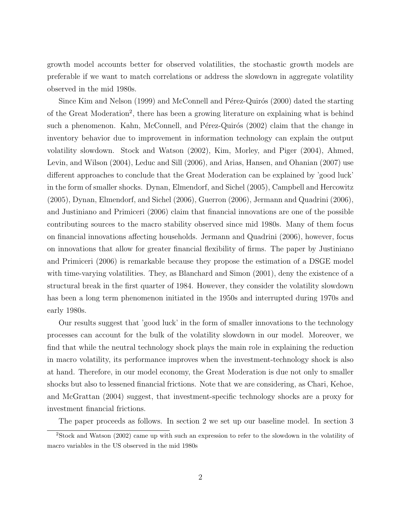growth model accounts better for observed volatilities, the stochastic growth models are preferable if we want to match correlations or address the slowdown in aggregate volatility observed in the mid 1980s.

Since Kim and Nelson (1999) and McConnell and Pérez-Quirós (2000) dated the starting of the Great Moderation<sup>2</sup>, there has been a growing literature on explaining what is behind such a phenomenon. Kahn, McConnell, and Pérez-Quirós (2002) claim that the change in inventory behavior due to improvement in information technology can explain the output volatility slowdown. Stock and Watson (2002), Kim, Morley, and Piger (2004), Ahmed, Levin, and Wilson (2004), Leduc and Sill (2006), and Arias, Hansen, and Ohanian (2007) use different approaches to conclude that the Great Moderation can be explained by 'good luck' in the form of smaller shocks. Dynan, Elmendorf, and Sichel (2005), Campbell and Hercowitz (2005), Dynan, Elmendorf, and Sichel (2006), Guerron (2006), Jermann and Quadrini (2006), and Justiniano and Primiceri (2006) claim that financial innovations are one of the possible contributing sources to the macro stability observed since mid 1980s. Many of them focus on financial innovations affecting households. Jermann and Quadrini (2006), however, focus on innovations that allow for greater financial flexibility of firms. The paper by Justiniano and Primiceri (2006) is remarkable because they propose the estimation of a DSGE model with time-varying volatilities. They, as Blanchard and Simon (2001), deny the existence of a structural break in the first quarter of 1984. However, they consider the volatility slowdown has been a long term phenomenon initiated in the 1950s and interrupted during 1970s and early 1980s.

Our results suggest that 'good luck' in the form of smaller innovations to the technology processes can account for the bulk of the volatility slowdown in our model. Moreover, we find that while the neutral technology shock plays the main role in explaining the reduction in macro volatility, its performance improves when the investment-technology shock is also at hand. Therefore, in our model economy, the Great Moderation is due not only to smaller shocks but also to lessened financial frictions. Note that we are considering, as Chari, Kehoe, and McGrattan (2004) suggest, that investment-specific technology shocks are a proxy for investment financial frictions.

The paper proceeds as follows. In section 2 we set up our baseline model. In section 3

<sup>2</sup>Stock and Watson (2002) came up with such an expression to refer to the slowdown in the volatility of macro variables in the US observed in the mid 1980s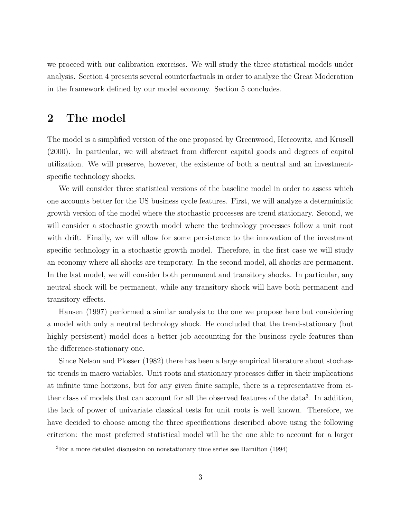we proceed with our calibration exercises. We will study the three statistical models under analysis. Section 4 presents several counterfactuals in order to analyze the Great Moderation in the framework defined by our model economy. Section 5 concludes.

### 2 The model

The model is a simplified version of the one proposed by Greenwood, Hercowitz, and Krusell (2000). In particular, we will abstract from different capital goods and degrees of capital utilization. We will preserve, however, the existence of both a neutral and an investmentspecific technology shocks.

We will consider three statistical versions of the baseline model in order to assess which one accounts better for the US business cycle features. First, we will analyze a deterministic growth version of the model where the stochastic processes are trend stationary. Second, we will consider a stochastic growth model where the technology processes follow a unit root with drift. Finally, we will allow for some persistence to the innovation of the investment specific technology in a stochastic growth model. Therefore, in the first case we will study an economy where all shocks are temporary. In the second model, all shocks are permanent. In the last model, we will consider both permanent and transitory shocks. In particular, any neutral shock will be permanent, while any transitory shock will have both permanent and transitory effects.

Hansen (1997) performed a similar analysis to the one we propose here but considering a model with only a neutral technology shock. He concluded that the trend-stationary (but highly persistent) model does a better job accounting for the business cycle features than the difference-stationary one.

Since Nelson and Plosser (1982) there has been a large empirical literature about stochastic trends in macro variables. Unit roots and stationary processes differ in their implications at infinite time horizons, but for any given finite sample, there is a representative from either class of models that can account for all the observed features of the data<sup>3</sup>. In addition, the lack of power of univariate classical tests for unit roots is well known. Therefore, we have decided to choose among the three specifications described above using the following criterion: the most preferred statistical model will be the one able to account for a larger

<sup>3</sup>For a more detailed discussion on nonstationary time series see Hamilton (1994)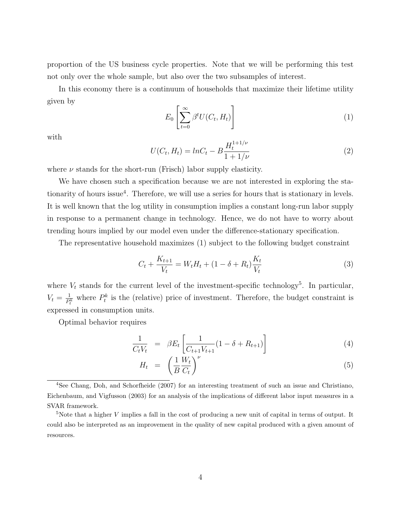proportion of the US business cycle properties. Note that we will be performing this test not only over the whole sample, but also over the two subsamples of interest.

In this economy there is a continuum of households that maximize their lifetime utility given by

$$
E_0\left[\sum_{t=0}^{\infty} \beta^t U(C_t, H_t)\right]
$$
\n(1)

with

$$
U(C_t, H_t) = lnC_t - B \frac{H_t^{1+1/\nu}}{1+1/\nu}
$$
\n(2)

where  $\nu$  stands for the short-run (Frisch) labor supply elasticity.

We have chosen such a specification because we are not interested in exploring the stationarity of hours issue<sup>4</sup>. Therefore, we will use a series for hours that is stationary in levels. It is well known that the log utility in consumption implies a constant long-run labor supply in response to a permanent change in technology. Hence, we do not have to worry about trending hours implied by our model even under the difference-stationary specification.

The representative household maximizes (1) subject to the following budget constraint

$$
C_t + \frac{K_{t+1}}{V_t} = W_t H_t + (1 - \delta + R_t) \frac{K_t}{V_t}
$$
\n(3)

where  $V_t$  stands for the current level of the investment-specific technology<sup>5</sup>. In particular,  $V_t = \frac{1}{P}$  $\frac{1}{P_t^k}$  where  $P_t^k$  is the (relative) price of investment. Therefore, the budget constraint is expressed in consumption units.

Optimal behavior requires

$$
\frac{1}{C_t V_t} = \beta E_t \left[ \frac{1}{C_{t+1} V_{t+1}} (1 - \delta + R_{t+1}) \right]
$$
\n(4)

$$
H_t = \left(\frac{1}{B}\frac{W_t}{C_t}\right)^{\nu} \tag{5}
$$

<sup>4</sup>See Chang, Doh, and Schorfheide (2007) for an interesting treatment of such an issue and Christiano, Eichenbaum, and Vigfusson (2003) for an analysis of the implications of different labor input measures in a SVAR framework.

<sup>&</sup>lt;sup>5</sup>Note that a higher V implies a fall in the cost of producing a new unit of capital in terms of output. It could also be interpreted as an improvement in the quality of new capital produced with a given amount of resources.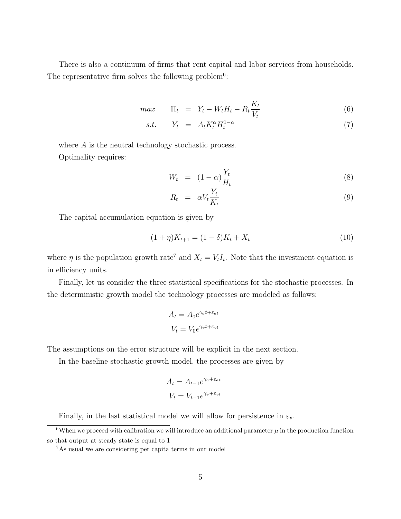There is also a continuum of firms that rent capital and labor services from households. The representative firm solves the following problem<sup>6</sup>:

$$
max \qquad \Pi_t = Y_t - W_t H_t - R_t \frac{K_t}{V_t} \tag{6}
$$

$$
s.t. \tY_t = A_t K_t^{\alpha} H_t^{1-\alpha} \t(7)
$$

where A is the neutral technology stochastic process. Optimality requires:

$$
W_t = (1 - \alpha) \frac{Y_t}{H_t} \tag{8}
$$

$$
R_t = \alpha V_t \frac{Y_t}{K_t} \tag{9}
$$

The capital accumulation equation is given by

$$
(1+\eta)K_{t+1} = (1-\delta)K_t + X_t
$$
\n(10)

where  $\eta$  is the population growth rate<sup>7</sup> and  $X_t = V_t I_t$ . Note that the investment equation is in efficiency units.

Finally, let us consider the three statistical specifications for the stochastic processes. In the deterministic growth model the technology processes are modeled as follows:

$$
A_t = A_0 e^{\gamma_a t + \varepsilon_{at}}
$$

$$
V_t = V_0 e^{\gamma_v t + \varepsilon_{vt}}
$$

The assumptions on the error structure will be explicit in the next section.

In the baseline stochastic growth model, the processes are given by

$$
A_t = A_{t-1}e^{\gamma_a + \varepsilon_{at}}
$$

$$
V_t = V_{t-1}e^{\gamma_v + \varepsilon_{vt}}
$$

Finally, in the last statistical model we will allow for persistence in  $\varepsilon_v$ .

 $6$ When we proceed with calibration we will introduce an additional parameter  $\mu$  in the production function so that output at steady state is equal to 1

<sup>7</sup>As usual we are considering per capita terms in our model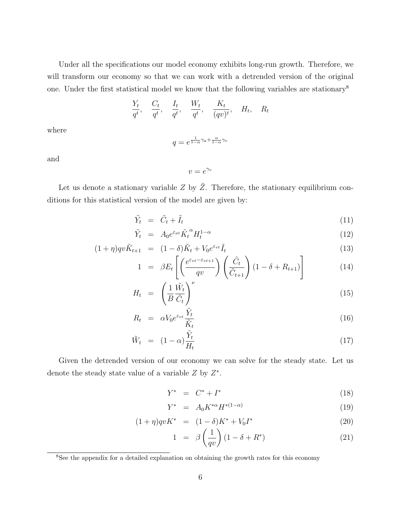Under all the specifications our model economy exhibits long-run growth. Therefore, we will transform our economy so that we can work with a detrended version of the original one. Under the first statistical model we know that the following variables are stationary<sup>8</sup>

$$
\frac{Y_t}{q^t}, \quad \frac{C_t}{q^t}, \quad \frac{I_t}{q^t}, \quad \frac{W_t}{q^t}, \quad \frac{K_t}{(qv)^t}, \quad H_t, \quad R_t
$$

where

$$
q = e^{\frac{1}{1-\alpha}\gamma_a + \frac{\alpha}{1-\alpha}\gamma_v}
$$

and

 $v=e^{\gamma_v}$ 

Let us denote a stationary variable  $Z$  by  $\tilde{Z}$ . Therefore, the stationary equilibrium conditions for this statistical version of the model are given by:

$$
\tilde{Y}_t = \tilde{C}_t + \tilde{I}_t \tag{11}
$$

$$
\tilde{Y}_t = A_0 e^{\varepsilon_{at}} \tilde{K}_t^{\alpha} H_t^{1-\alpha} \tag{12}
$$

$$
(1+\eta)qv\tilde{K}_{t+1} = (1-\delta)\tilde{K}_t + V_0e^{\varepsilon_{vt}}\tilde{I}_t
$$
\n(13)

$$
1 = \beta E_t \left[ \left( \frac{e^{\varepsilon_{vt} - \varepsilon_{vt+1}}}{qv} \right) \left( \frac{\tilde{C}_t}{\tilde{C}_{t+1}} \right) (1 - \delta + R_{t+1}) \right]
$$
(14)

$$
H_t = \left(\frac{1}{B}\frac{\tilde{W}_t}{\tilde{C}_t}\right)^{\nu} \tag{15}
$$

$$
R_t = \alpha V_0 e^{\varepsilon_{vt}} \frac{\tilde{Y}_t}{\tilde{K}_t} \tag{16}
$$

$$
\tilde{W}_t = (1 - \alpha) \frac{\tilde{Y}_t}{H_t} \tag{17}
$$

Given the detrended version of our economy we can solve for the steady state. Let us denote the steady state value of a variable  $Z$  by  $Z^*$ .

$$
Y^* = C^* + I^* \tag{18}
$$

$$
Y^* = A_0 K^{*\alpha} H^{*(1-\alpha)} \tag{19}
$$

$$
(1+\eta)qvK^* = (1-\delta)K^* + V_0I^* \tag{20}
$$

$$
1 = \beta \left(\frac{1}{qv}\right) (1 - \delta + R^*) \tag{21}
$$

<sup>&</sup>lt;sup>8</sup>See the appendix for a detailed explanation on obtaining the growth rates for this economy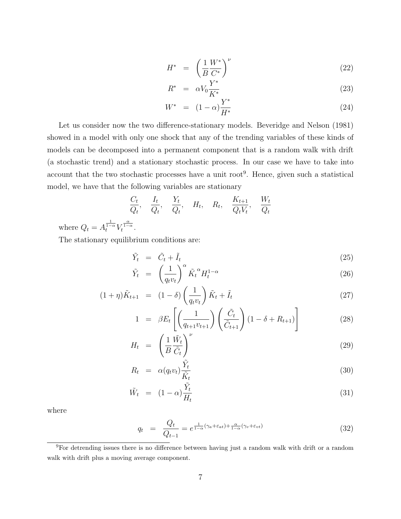$$
H^* = \left(\frac{1}{B}\frac{W^*}{C^*}\right)^{\nu}
$$
\n
$$
V^*
$$
\n(22)

$$
R^* = \alpha V_0 \frac{Y^*}{K^*} \tag{23}
$$

$$
W^* = (1 - \alpha) \frac{Y^*}{H^*}
$$
 (24)

Let us consider now the two difference-stationary models. Beveridge and Nelson (1981) showed in a model with only one shock that any of the trending variables of these kinds of models can be decomposed into a permanent component that is a random walk with drift (a stochastic trend) and a stationary stochastic process. In our case we have to take into account that the two stochastic processes have a unit root<sup>9</sup>. Hence, given such a statistical model, we have that the following variables are stationary

$$
\frac{C_t}{Q_t}, \quad \frac{I_t}{Q_t}, \quad \frac{Y_t}{Q_t}, \quad H_t, \quad R_t, \quad \frac{K_{t+1}}{Q_t V_t}, \quad \frac{W_t}{Q_t}
$$

where  $Q_t = A_t^{\frac{1}{1-\alpha}} V$  $\frac{\alpha}{1-\alpha}$ .

The stationary equilibrium conditions are:

$$
\tilde{Y}_t = \tilde{C}_t + \tilde{I}_t \tag{25}
$$

$$
\tilde{Y}_t = \left(\frac{1}{q_t v_t}\right)^{\alpha} \tilde{K}_t^{\alpha} H_t^{1-\alpha} \tag{26}
$$

$$
(1+\eta)\tilde{K}_{t+1} = (1-\delta)\left(\frac{1}{q_t v_t}\right)\tilde{K}_t + \tilde{I}_t
$$
\n(27)

$$
1 = \beta E_t \left[ \left( \frac{1}{q_{t+1} v_{t+1}} \right) \left( \frac{\tilde{C}_t}{\tilde{C}_{t+1}} \right) (1 - \delta + R_{t+1}) \right]
$$
(28)

$$
H_t = \left(\frac{1}{B}\frac{\tilde{W}_t}{\tilde{C}_t}\right)^{\nu} \tag{29}
$$

$$
R_t = \alpha(q_t v_t) \frac{\tilde{Y}_t}{\tilde{K}_t} \tag{30}
$$

$$
\tilde{W}_t = (1 - \alpha) \frac{\tilde{Y}_t}{H_t} \tag{31}
$$

where

$$
q_t = \frac{Q_t}{Q_{t-1}} = e^{\frac{1}{1-\alpha}(\gamma_a + \varepsilon_{at}) + \frac{\alpha}{1-\alpha}(\gamma_v + \varepsilon_{vt})}
$$
\n(32)

<sup>9</sup>For detrending issues there is no difference between having just a random walk with drift or a random walk with drift plus a moving average component.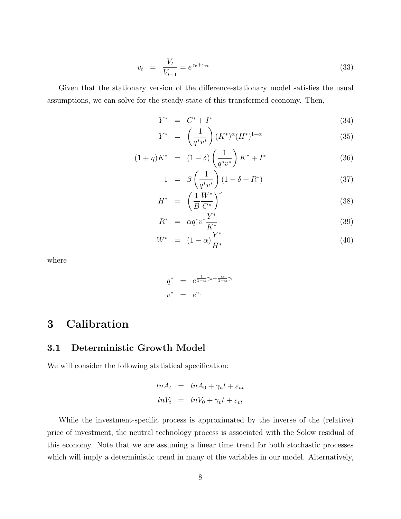$$
v_t = \frac{V_t}{V_{t-1}} = e^{\gamma_v + \varepsilon_{vt}} \tag{33}
$$

Given that the stationary version of the difference-stationary model satisfies the usual assumptions, we can solve for the steady-state of this transformed economy. Then,

$$
Y^* = C^* + I^* \tag{34}
$$

$$
Y^* = \left(\frac{1}{q^*v^*}\right)(K^*)^{\alpha}(H^*)^{1-\alpha} \tag{35}
$$

$$
(1+\eta)K^* = (1-\delta)\left(\frac{1}{q^*v^*}\right)K^* + I^*
$$
\n(36)

$$
1 = \beta \left(\frac{1}{q^*v^*}\right) (1 - \delta + R^*) \tag{37}
$$

$$
H^* = \left(\frac{1}{B}\frac{W^*}{C^*}\right)^{\nu} \tag{38}
$$

$$
R^* = \alpha q^* v^* \frac{Y^*}{K^*}
$$
\n
$$
W^*
$$
\n(39)

$$
W^* = (1 - \alpha) \frac{Y^*}{H^*}
$$
 (40)

where

$$
q^* = e^{\frac{1}{1-\alpha}\gamma_a + \frac{\alpha}{1-\alpha}\gamma_v}
$$
  

$$
v^* = e^{\gamma_v}
$$

## 3 Calibration

### 3.1 Deterministic Growth Model

We will consider the following statistical specification:

$$
ln A_t = ln A_0 + \gamma_a t + \varepsilon_{at}
$$
  

$$
ln V_t = ln V_0 + \gamma_v t + \varepsilon_{vt}
$$

While the investment-specific process is approximated by the inverse of the (relative) price of investment, the neutral technology process is associated with the Solow residual of this economy. Note that we are assuming a linear time trend for both stochastic processes which will imply a deterministic trend in many of the variables in our model. Alternatively,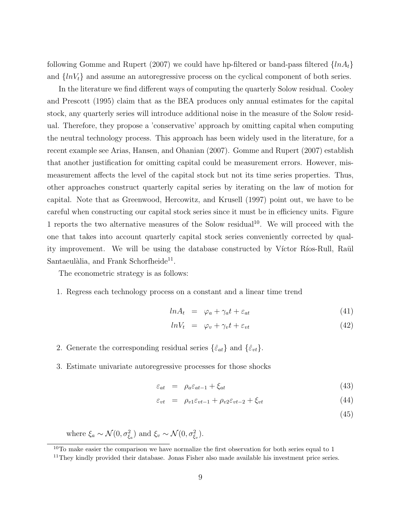following Gomme and Rupert (2007) we could have hp-filtered or band-pass filtered  $\{lnA_t\}$ and  $\{lnV_t\}$  and assume an autoregressive process on the cyclical component of both series.

In the literature we find different ways of computing the quarterly Solow residual. Cooley and Prescott (1995) claim that as the BEA produces only annual estimates for the capital stock, any quarterly series will introduce additional noise in the measure of the Solow residual. Therefore, they propose a 'conservative' approach by omitting capital when computing the neutral technology process. This approach has been widely used in the literature, for a recent example see Arias, Hansen, and Ohanian (2007). Gomme and Rupert (2007) establish that another justification for omitting capital could be measurement errors. However, mismeasurement affects the level of the capital stock but not its time series properties. Thus, other approaches construct quarterly capital series by iterating on the law of motion for capital. Note that as Greenwood, Hercowitz, and Krusell (1997) point out, we have to be careful when constructing our capital stock series since it must be in efficiency units. Figure 1 reports the two alternative measures of the Solow residual<sup>10</sup>. We will proceed with the one that takes into account quarterly capital stock series conveniently corrected by quality improvement. We will be using the database constructed by Víctor Ríos-Rull, Raül Santaeulàlia, and Frank Schorfheide<sup>11</sup>.

The econometric strategy is as follows:

1. Regress each technology process on a constant and a linear time trend

$$
ln A_t = \varphi_a + \gamma_a t + \varepsilon_{at} \tag{41}
$$

$$
lnV_t = \varphi_v + \gamma_v t + \varepsilon_{vt} \tag{42}
$$

- 2. Generate the corresponding residual series  $\{\hat{\varepsilon}_{at}\}\$  and  $\{\hat{\varepsilon}_{vt}\}.$
- 3. Estimate univariate autoregressive processes for those shocks

$$
\varepsilon_{at} = \rho_a \varepsilon_{at-1} + \xi_{at} \tag{43}
$$

$$
\varepsilon_{vt} = \rho_{v1} \varepsilon_{vt-1} + \rho_{v2} \varepsilon_{vt-2} + \xi_{vt} \tag{44}
$$

(45)

where  $\xi_a \sim \mathcal{N}(0, \sigma_{\xi_a}^2)$  and  $\xi_v \sim \mathcal{N}(0, \sigma_{\xi_v}^2)$ .

 $10$ To make easier the comparison we have normalize the first observation for both series equal to 1

 $11$ They kindly provided their database. Jonas Fisher also made available his investment price series.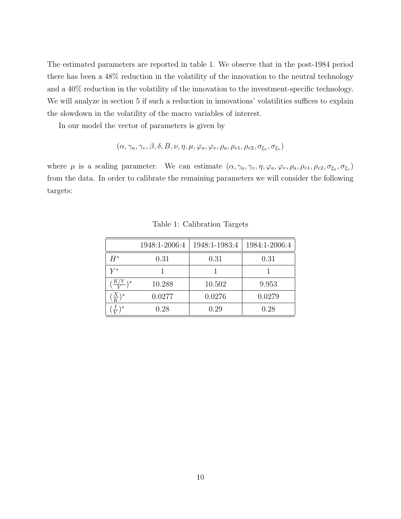The estimated parameters are reported in table 1. We observe that in the post-1984 period there has been a 48% reduction in the volatility of the innovation to the neutral technology and a 40% reduction in the volatility of the innovation to the investment-specific technology. We will analyze in section 5 if such a reduction in innovations' volatilities suffices to explain the slowdown in the volatility of the macro variables of interest.

In our model the vector of parameters is given by

$$
(\alpha, \gamma_a, \gamma_v, \beta, \delta, B, \nu, \eta, \mu, \varphi_a, \varphi_v, \rho_a, \rho_{v1}, \rho_{v2}, \sigma_{\xi_a}, \sigma_{\xi_v})
$$

where  $\mu$  is a scaling parameter. We can estimate  $(\alpha, \gamma_a, \gamma_v, \eta, \varphi_a, \varphi_v, \rho_a, \rho_{v1}, \rho_{v2}, \sigma_{\xi_a}, \sigma_{\xi_v})$ from the data. In order to calibrate the remaining parameters we will consider the following targets:

|                   | 1948:1-2006:4 | 1948:1-1983:4 | 1984:1-2006:4 |
|-------------------|---------------|---------------|---------------|
| $H^*$             | 0.31          | 0.31          | 0.31          |
| $V^\ast$          |               |               |               |
| $\frac{K/v}{V}$   | 10.288        | 10.502        | 9.953         |
| $(\frac{X}{K})^*$ | 0.0277        | 0.0276        | 0.0279        |
| $\ast$            | 0.28          | 0.29          | 0.28          |

Table 1: Calibration Targets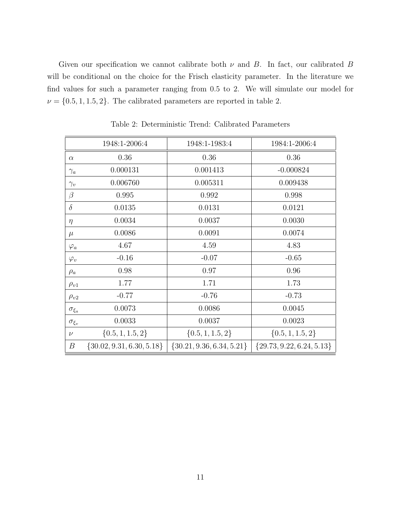Given our specification we cannot calibrate both  $\nu$  and  $B$ . In fact, our calibrated  $B$ will be conditional on the choice for the Frisch elasticity parameter. In the literature we find values for such a parameter ranging from 0.5 to 2. We will simulate our model for  $\nu = \{0.5, 1, 1.5, 2\}$ . The calibrated parameters are reported in table 2.

|                  | 1948:1-2006:4                 | 1948:1-1983:4                 | 1984:1-2006:4                 |
|------------------|-------------------------------|-------------------------------|-------------------------------|
| $\alpha$         | 0.36                          | 0.36                          | 0.36                          |
| $\gamma_a$       | 0.000131                      | 0.001413                      | $-0.000824$                   |
| $\gamma_v$       | 0.006760                      | 0.005311                      | 0.009438                      |
| $\beta$          | 0.995                         | 0.992                         | 0.998                         |
| $\delta$         | 0.0135                        | 0.0131                        | 0.0121                        |
| $\eta$           | 0.0034                        | 0.0037                        | 0.0030                        |
| $\mu$            | 0.0086                        | 0.0091                        | 0.0074                        |
| $\varphi_a$      | 4.67                          | 4.59                          | 4.83                          |
| $\varphi_v$      | $-0.16$                       | $-0.07$                       | $-0.65$                       |
| $\rho_a$         | 0.98                          | 0.97                          | 0.96                          |
| $\rho_{v1}$      | 1.77                          | 1.71                          | 1.73                          |
| $\rho_{v2}$      | $-0.77$                       | $-0.76$                       | $-0.73$                       |
| $\sigma_{\xi_a}$ | 0.0073                        | 0.0086                        | 0.0045                        |
| $\sigma_{\xi_v}$ | 0.0033                        | 0.0037                        | 0.0023                        |
| $\nu$            | $\{0.5, 1, 1.5, 2\}$          | $\{0.5, 1, 1.5, 2\}$          | $\{0.5, 1, 1.5, 2\}$          |
| В                | $\{30.02, 9.31, 6.30, 5.18\}$ | $\{30.21, 9.36, 6.34, 5.21\}$ | $\{29.73, 9.22, 6.24, 5.13\}$ |

Table 2: Deterministic Trend: Calibrated Parameters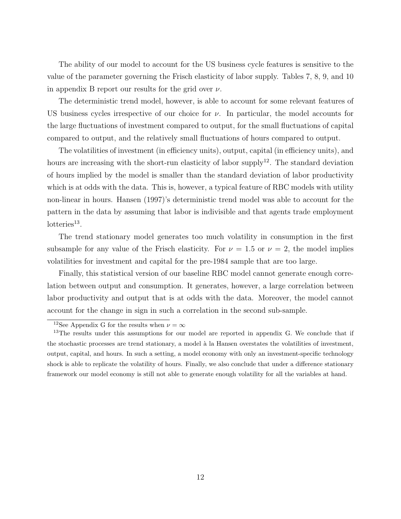The ability of our model to account for the US business cycle features is sensitive to the value of the parameter governing the Frisch elasticity of labor supply. Tables 7, 8, 9, and 10 in appendix B report our results for the grid over  $\nu$ .

The deterministic trend model, however, is able to account for some relevant features of US business cycles irrespective of our choice for  $\nu$ . In particular, the model accounts for the large fluctuations of investment compared to output, for the small fluctuations of capital compared to output, and the relatively small fluctuations of hours compared to output.

The volatilities of investment (in efficiency units), output, capital (in efficiency units), and hours are increasing with the short-run elasticity of labor supply<sup>12</sup>. The standard deviation of hours implied by the model is smaller than the standard deviation of labor productivity which is at odds with the data. This is, however, a typical feature of RBC models with utility non-linear in hours. Hansen (1997)'s deterministic trend model was able to account for the pattern in the data by assuming that labor is indivisible and that agents trade employment  $lottedities<sup>13</sup>$ .

The trend stationary model generates too much volatility in consumption in the first subsample for any value of the Frisch elasticity. For  $\nu = 1.5$  or  $\nu = 2$ , the model implies volatilities for investment and capital for the pre-1984 sample that are too large.

Finally, this statistical version of our baseline RBC model cannot generate enough correlation between output and consumption. It generates, however, a large correlation between labor productivity and output that is at odds with the data. Moreover, the model cannot account for the change in sign in such a correlation in the second sub-sample.

<sup>&</sup>lt;sup>12</sup>See Appendix G for the results when  $\nu = \infty$ 

<sup>&</sup>lt;sup>13</sup>The results under this assumptions for our model are reported in appendix G. We conclude that if the stochastic processes are trend stationary, a model à la Hansen overstates the volatilities of investment, output, capital, and hours. In such a setting, a model economy with only an investment-specific technology shock is able to replicate the volatility of hours. Finally, we also conclude that under a difference stationary framework our model economy is still not able to generate enough volatility for all the variables at hand.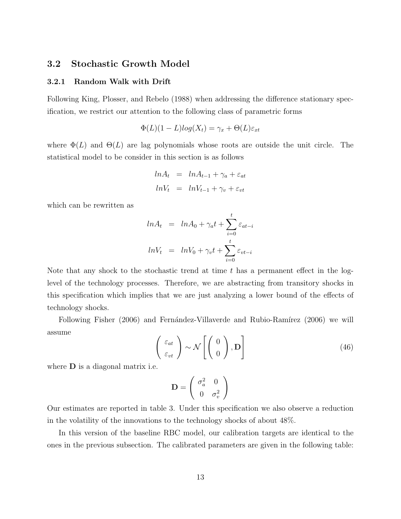### 3.2 Stochastic Growth Model

#### 3.2.1 Random Walk with Drift

Following King, Plosser, and Rebelo (1988) when addressing the difference stationary specification, we restrict our attention to the following class of parametric forms

$$
\Phi(L)(1-L)log(X_t) = \gamma_x + \Theta(L)\varepsilon_{xt}
$$

where  $\Phi(L)$  and  $\Theta(L)$  are lag polynomials whose roots are outside the unit circle. The statistical model to be consider in this section is as follows

$$
ln A_t = ln A_{t-1} + \gamma_a + \varepsilon_{at}
$$
  

$$
ln V_t = ln V_{t-1} + \gamma_v + \varepsilon_{vt}
$$

which can be rewritten as

$$
ln A_t = ln A_0 + \gamma_a t + \sum_{i=0}^t \varepsilon_{at-i}
$$

$$
ln V_t = ln V_0 + \gamma_v t + \sum_{i=0}^t \varepsilon_{vt-i}
$$

Note that any shock to the stochastic trend at time  $t$  has a permanent effect in the loglevel of the technology processes. Therefore, we are abstracting from transitory shocks in this specification which implies that we are just analyzing a lower bound of the effects of technology shocks.

Following Fisher (2006) and Fernández-Villaverde and Rubio-Ramírez (2006) we will assume

$$
\begin{pmatrix} \varepsilon_{at} \\ \varepsilon_{vt} \end{pmatrix} \sim \mathcal{N} \begin{bmatrix} 0 \\ 0 \end{bmatrix}, \mathbf{D} \end{bmatrix}
$$
 (46)

where **D** is a diagonal matrix i.e.

$$
\mathbf{D} = \left( \begin{array}{cc} \sigma_a^2 & 0 \\ 0 & \sigma_v^2 \end{array} \right)
$$

Our estimates are reported in table 3. Under this specification we also observe a reduction in the volatility of the innovations to the technology shocks of about 48%.

In this version of the baseline RBC model, our calibration targets are identical to the ones in the previous subsection. The calibrated parameters are given in the following table: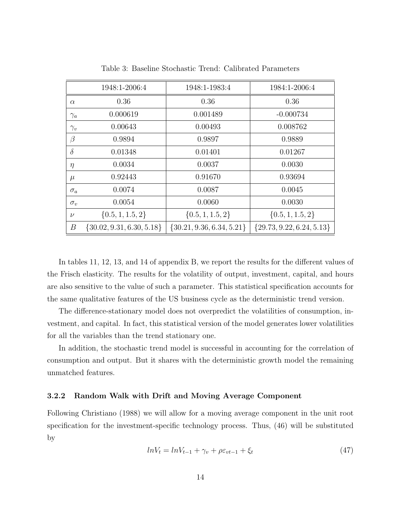|              | 1948:1-2006:4                 | 1948:1-1983:4                 | 1984:1-2006:4               |
|--------------|-------------------------------|-------------------------------|-----------------------------|
| $\alpha$     | 0.36                          | 0.36                          | 0.36                        |
| $\gamma_a$   | 0.000619                      | 0.001489                      | $-0.000734$                 |
| $\gamma_{v}$ | 0.00643                       | 0.00493                       | 0.008762                    |
| $\beta$      | 0.9894                        | 0.9897                        | 0.9889                      |
| $\delta$     | 0.01348                       | 0.01401                       | 0.01267                     |
| $\eta$       | 0.0034                        | 0.0037                        | 0.0030                      |
| $\mu$        | 0.92443                       | 0.91670                       | 0.93694                     |
| $\sigma_a$   | 0.0074                        | 0.0087                        | 0.0045                      |
| $\sigma_v$   | 0.0054                        | 0.0060                        | 0.0030                      |
| $\nu$        | $\{0.5, 1, 1.5, 2\}$          | $\{0.5, 1, 1.5, 2\}$          | $\{0.5, 1, 1.5, 2\}$        |
| B            | $\{30.02, 9.31, 6.30, 5.18\}$ | $\{30.21, 9.36, 6.34, 5.21\}$ | ${29.73, 9.22, 6.24, 5.13}$ |

Table 3: Baseline Stochastic Trend: Calibrated Parameters

In tables 11, 12, 13, and 14 of appendix B, we report the results for the different values of the Frisch elasticity. The results for the volatility of output, investment, capital, and hours are also sensitive to the value of such a parameter. This statistical specification accounts for the same qualitative features of the US business cycle as the deterministic trend version.

The difference-stationary model does not overpredict the volatilities of consumption, investment, and capital. In fact, this statistical version of the model generates lower volatilities for all the variables than the trend stationary one.

In addition, the stochastic trend model is successful in accounting for the correlation of consumption and output. But it shares with the deterministic growth model the remaining unmatched features.

#### 3.2.2 Random Walk with Drift and Moving Average Component

Following Christiano (1988) we will allow for a moving average component in the unit root specification for the investment-specific technology process. Thus, (46) will be substituted by

$$
ln V_t = ln V_{t-1} + \gamma_v + \rho \varepsilon_{vt-1} + \xi_t \tag{47}
$$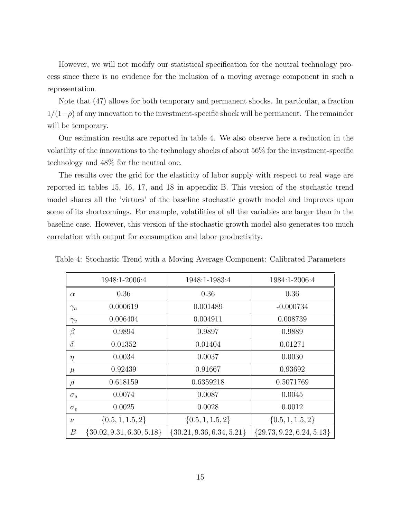However, we will not modify our statistical specification for the neutral technology process since there is no evidence for the inclusion of a moving average component in such a representation.

Note that (47) allows for both temporary and permanent shocks. In particular, a fraction  $1/(1-\rho)$  of any innovation to the investment-specific shock will be permanent. The remainder will be temporary.

Our estimation results are reported in table 4. We also observe here a reduction in the volatility of the innovations to the technology shocks of about 56% for the investment-specific technology and 48% for the neutral one.

The results over the grid for the elasticity of labor supply with respect to real wage are reported in tables 15, 16, 17, and 18 in appendix B. This version of the stochastic trend model shares all the 'virtues' of the baseline stochastic growth model and improves upon some of its shortcomings. For example, volatilities of all the variables are larger than in the baseline case. However, this version of the stochastic growth model also generates too much correlation with output for consumption and labor productivity.

|            | 1948:1-2006:4                 | 1948:1-1983:4                 | 1984:1-2006:4               |
|------------|-------------------------------|-------------------------------|-----------------------------|
| $\alpha$   | 0.36                          | 0.36                          | 0.36                        |
| $\gamma_a$ | 0.000619                      | 0.001489                      | $-0.000734$                 |
| $\gamma_v$ | 0.006404                      | 0.004911                      | 0.008739                    |
| $\beta$    | 0.9894                        | 0.9897                        | 0.9889                      |
| $\delta$   | 0.01352                       | 0.01404                       | 0.01271                     |
| $\eta$     | 0.0034                        | 0.0037                        | 0.0030                      |
| $\mu$      | 0.92439                       | 0.91667                       | 0.93692                     |
| $\rho$     | 0.618159                      | 0.6359218                     | 0.5071769                   |
| $\sigma_a$ | 0.0074                        | 0.0087                        | 0.0045                      |
| $\sigma_v$ | 0.0025                        | 0.0028                        | 0.0012                      |
| $\nu$      | $\{0.5, 1, 1.5, 2\}$          | $\{0.5, 1, 1.5, 2\}$          | $\{0.5, 1, 1.5, 2\}$        |
| В          | $\{30.02, 9.31, 6.30, 5.18\}$ | $\{30.21, 9.36, 6.34, 5.21\}$ | ${29.73, 9.22, 6.24, 5.13}$ |

Table 4: Stochastic Trend with a Moving Average Component: Calibrated Parameters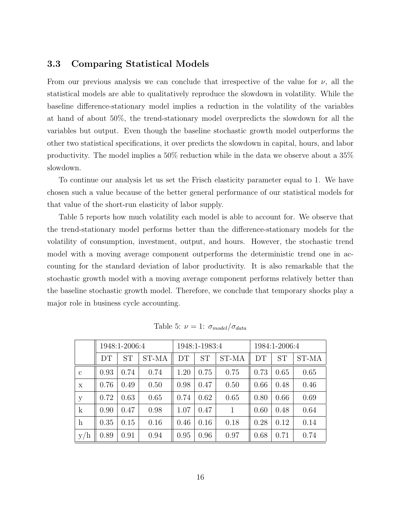### 3.3 Comparing Statistical Models

From our previous analysis we can conclude that irrespective of the value for  $\nu$ , all the statistical models are able to qualitatively reproduce the slowdown in volatility. While the baseline difference-stationary model implies a reduction in the volatility of the variables at hand of about 50%, the trend-stationary model overpredicts the slowdown for all the variables but output. Even though the baseline stochastic growth model outperforms the other two statistical specifications, it over predicts the slowdown in capital, hours, and labor productivity. The model implies a 50% reduction while in the data we observe about a 35% slowdown.

To continue our analysis let us set the Frisch elasticity parameter equal to 1. We have chosen such a value because of the better general performance of our statistical models for that value of the short-run elasticity of labor supply.

Table 5 reports how much volatility each model is able to account for. We observe that the trend-stationary model performs better than the difference-stationary models for the volatility of consumption, investment, output, and hours. However, the stochastic trend model with a moving average component outperforms the deterministic trend one in accounting for the standard deviation of labor productivity. It is also remarkable that the stochastic growth model with a moving average component performs relatively better than the baseline stochastic growth model. Therefore, we conclude that temporary shocks play a major role in business cycle accounting.

|                           |      | 1948:1-2006:4 |       |      | 1948:1-1983:4 |       | 1984:1-2006:4 |           |       |  |
|---------------------------|------|---------------|-------|------|---------------|-------|---------------|-----------|-------|--|
|                           | DT   | <b>ST</b>     | ST-MA | DТ   | <b>ST</b>     | ST-MA | DТ            | <b>ST</b> | ST-MA |  |
| $\mathbf{c}$              | 0.93 | 0.74          | 0.74  | 1.20 | 0.75          | 0.75  | 0.73          | 0.65      | 0.65  |  |
| X                         | 0.76 | 0.49          | 0.50  | 0.98 | 0.47          | 0.50  | 0.66          | 0.48      | 0.46  |  |
| y                         | 0.72 | 0.63          | 0.65  | 0.74 | 0.62          | 0.65  | 0.80          | 0.66      | 0.69  |  |
| $\mathbf{k}$              | 0.90 | 0.47          | 0.98  | 1.07 | 0.47          | 1     | 0.60          | 0.48      | 0.64  |  |
| $\boldsymbol{\mathrm{h}}$ | 0.35 | 0.15          | 0.16  | 0.46 | 0.16          | 0.18  | 0.28          | 0.12      | 0.14  |  |
| y/h                       | 0.89 | 0.94<br>0.91  |       | 0.95 | 0.96          | 0.97  | 0.68          | 0.71      | 0.74  |  |

Table 5:  $\nu = 1: \sigma_{model}/\sigma_{data}$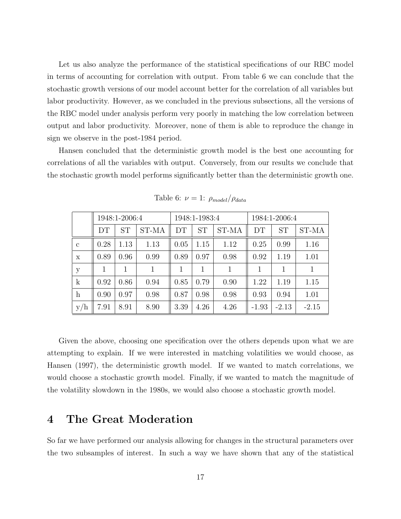Let us also analyze the performance of the statistical specifications of our RBC model in terms of accounting for correlation with output. From table 6 we can conclude that the stochastic growth versions of our model account better for the correlation of all variables but labor productivity. However, as we concluded in the previous subsections, all the versions of the RBC model under analysis perform very poorly in matching the low correlation between output and labor productivity. Moreover, none of them is able to reproduce the change in sign we observe in the post-1984 period.

Hansen concluded that the deterministic growth model is the best one accounting for correlations of all the variables with output. Conversely, from our results we conclude that the stochastic growth model performs significantly better than the deterministic growth one.

|              |      | 1948:1-2006:4 |       |      | 1948:1-1983:4 |       | 1984:1-2006:4 |           |              |  |  |
|--------------|------|---------------|-------|------|---------------|-------|---------------|-----------|--------------|--|--|
|              | DТ   | <b>ST</b>     | ST-MA | DT   | <b>ST</b>     | ST-MA | DT            | <b>ST</b> | ST-MA        |  |  |
| $\mathbf{c}$ | 0.28 | 1.13          | 1.13  | 0.05 | 1.15          | 1.12  | 0.25          | 0.99      | 1.16         |  |  |
| $\mathbf x$  | 0.89 | 0.96          | 0.99  | 0.89 | 0.97          | 0.98  | 0.92          | 1.19      | 1.01         |  |  |
| у            |      |               | 1     |      |               | 1     |               | 1         | $\mathbf{1}$ |  |  |
| $\mathbf{k}$ | 0.92 | 0.86          | 0.94  | 0.85 | 0.79          | 0.90  | 1.22          | 1.19      | 1.15         |  |  |
| $\mathbf{h}$ | 0.90 | 0.97          | 0.98  | 0.87 | 0.98          | 0.98  | 0.93          | 0.94      | 1.01         |  |  |
| y/h          | 7.91 | 8.91          | 8.90  | 3.39 | 4.26          | 4.26  | $-1.93$       | $-2.13$   | $-2.15$      |  |  |

Table 6:  $\nu = 1$ :  $\rho_{model}/\rho_{data}$ 

Given the above, choosing one specification over the others depends upon what we are attempting to explain. If we were interested in matching volatilities we would choose, as Hansen (1997), the deterministic growth model. If we wanted to match correlations, we would choose a stochastic growth model. Finally, if we wanted to match the magnitude of the volatility slowdown in the 1980s, we would also choose a stochastic growth model.

## 4 The Great Moderation

So far we have performed our analysis allowing for changes in the structural parameters over the two subsamples of interest. In such a way we have shown that any of the statistical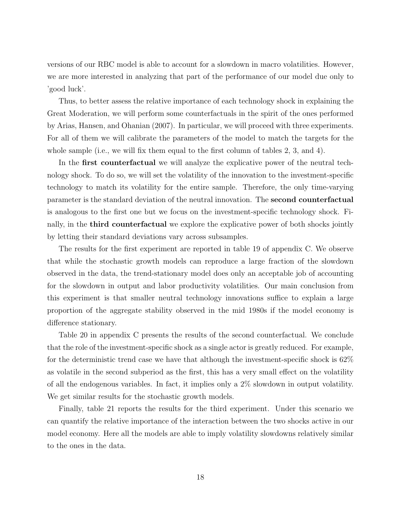versions of our RBC model is able to account for a slowdown in macro volatilities. However, we are more interested in analyzing that part of the performance of our model due only to 'good luck'.

Thus, to better assess the relative importance of each technology shock in explaining the Great Moderation, we will perform some counterfactuals in the spirit of the ones performed by Arias, Hansen, and Ohanian (2007). In particular, we will proceed with three experiments. For all of them we will calibrate the parameters of the model to match the targets for the whole sample (i.e., we will fix them equal to the first column of tables  $2, 3$ , and  $4$ ).

In the **first counterfactual** we will analyze the explicative power of the neutral technology shock. To do so, we will set the volatility of the innovation to the investment-specific technology to match its volatility for the entire sample. Therefore, the only time-varying parameter is the standard deviation of the neutral innovation. The second counterfactual is analogous to the first one but we focus on the investment-specific technology shock. Finally, in the **third counterfactual** we explore the explicative power of both shocks jointly by letting their standard deviations vary across subsamples.

The results for the first experiment are reported in table 19 of appendix C. We observe that while the stochastic growth models can reproduce a large fraction of the slowdown observed in the data, the trend-stationary model does only an acceptable job of accounting for the slowdown in output and labor productivity volatilities. Our main conclusion from this experiment is that smaller neutral technology innovations suffice to explain a large proportion of the aggregate stability observed in the mid 1980s if the model economy is difference stationary.

Table 20 in appendix C presents the results of the second counterfactual. We conclude that the role of the investment-specific shock as a single actor is greatly reduced. For example, for the deterministic trend case we have that although the investment-specific shock is 62% as volatile in the second subperiod as the first, this has a very small effect on the volatility of all the endogenous variables. In fact, it implies only a 2% slowdown in output volatility. We get similar results for the stochastic growth models.

Finally, table 21 reports the results for the third experiment. Under this scenario we can quantify the relative importance of the interaction between the two shocks active in our model economy. Here all the models are able to imply volatility slowdowns relatively similar to the ones in the data.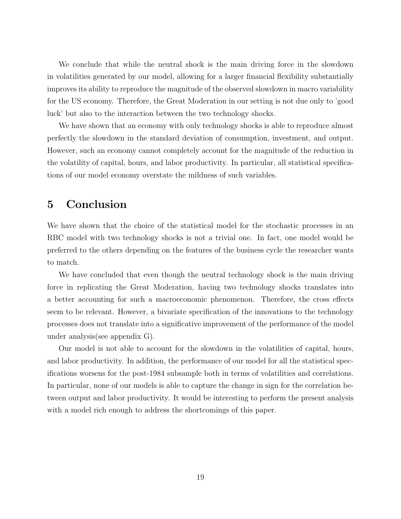We conclude that while the neutral shock is the main driving force in the slowdown in volatilities generated by our model, allowing for a larger financial flexibility substantially improves its ability to reproduce the magnitude of the observed slowdown in macro variability for the US economy. Therefore, the Great Moderation in our setting is not due only to 'good luck' but also to the interaction between the two technology shocks.

We have shown that an economy with only technology shocks is able to reproduce almost perfectly the slowdown in the standard deviation of consumption, investment, and output. However, such an economy cannot completely account for the magnitude of the reduction in the volatility of capital, hours, and labor productivity. In particular, all statistical specifications of our model economy overstate the mildness of such variables.

## 5 Conclusion

We have shown that the choice of the statistical model for the stochastic processes in an RBC model with two technology shocks is not a trivial one. In fact, one model would be preferred to the others depending on the features of the business cycle the researcher wants to match.

We have concluded that even though the neutral technology shock is the main driving force in replicating the Great Moderation, having two technology shocks translates into a better accounting for such a macroeconomic phenomenon. Therefore, the cross effects seem to be relevant. However, a bivariate specification of the innovations to the technology processes does not translate into a significative improvement of the performance of the model under analysis(see appendix G).

Our model is not able to account for the slowdown in the volatilities of capital, hours, and labor productivity. In addition, the performance of our model for all the statistical specifications worsens for the post-1984 subsample both in terms of volatilities and correlations. In particular, none of our models is able to capture the change in sign for the correlation between output and labor productivity. It would be interesting to perform the present analysis with a model rich enough to address the shortcomings of this paper.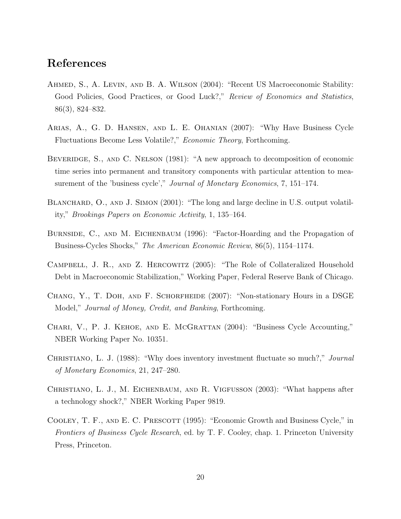## References

- Ahmed, S., A. Levin, and B. A. Wilson (2004): "Recent US Macroeconomic Stability: Good Policies, Good Practices, or Good Luck?," Review of Economics and Statistics, 86(3), 824–832.
- Arias, A., G. D. Hansen, and L. E. Ohanian (2007): "Why Have Business Cycle Fluctuations Become Less Volatile?," Economic Theory, Forthcoming.
- BEVERIDGE, S., AND C. NELSON (1981): "A new approach to decomposition of economic time series into permanent and transitory components with particular attention to measurement of the 'business cycle'," Journal of Monetary Economics, 7, 151–174.
- BLANCHARD, O., AND J. SIMON (2001): "The long and large decline in U.S. output volatility," Brookings Papers on Economic Activity, 1, 135–164.
- BURNSIDE, C., AND M. EICHENBAUM (1996): "Factor-Hoarding and the Propagation of Business-Cycles Shocks," The American Economic Review, 86(5), 1154–1174.
- CAMPBELL, J. R., AND Z. HERCOWITZ (2005): "The Role of Collateralized Household Debt in Macroeconomic Stabilization," Working Paper, Federal Reserve Bank of Chicago.
- Chang, Y., T. Doh, and F. Schorfheide (2007): "Non-stationary Hours in a DSGE Model," Journal of Money, Credit, and Banking, Forthcoming.
- Chari, V., P. J. Kehoe, and E. McGrattan (2004): "Business Cycle Accounting," NBER Working Paper No. 10351.
- CHRISTIANO, L. J. (1988): "Why does inventory investment fluctuate so much?," *Journal* of Monetary Economics, 21, 247–280.
- Christiano, L. J., M. Eichenbaum, and R. Vigfusson (2003): "What happens after a technology shock?," NBER Working Paper 9819.
- COOLEY, T. F., AND E. C. PRESCOTT (1995): "Economic Growth and Business Cycle," in Frontiers of Business Cycle Research, ed. by T. F. Cooley, chap. 1. Princeton University Press, Princeton.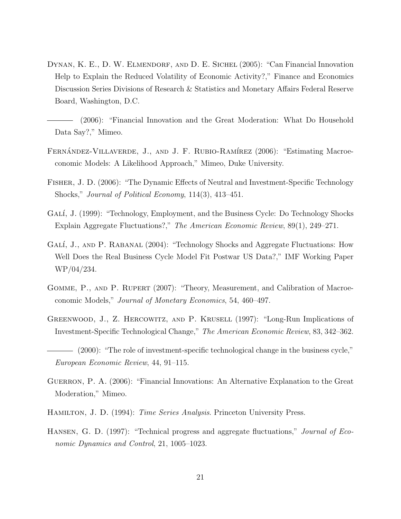DYNAN, K. E., D. W. ELMENDORF, AND D. E. SICHEL (2005): "Can Financial Innovation Help to Explain the Reduced Volatility of Economic Activity?," Finance and Economics Discussion Series Divisions of Research & Statistics and Monetary Affairs Federal Reserve Board, Washington, D.C.

(2006): "Financial Innovation and the Great Moderation: What Do Household Data Say?," Mimeo.

- FERNÁNDEZ-VILLAVERDE, J., AND J. F. RUBIO-RAMÍREZ (2006): "Estimating Macroeconomic Models: A Likelihood Approach," Mimeo, Duke University.
- Fisher, J. D. (2006): "The Dynamic Effects of Neutral and Investment-Specific Technology Shocks," Journal of Political Economy, 114(3), 413–451.
- GALÍ, J. (1999): "Technology, Employment, and the Business Cycle: Do Technology Shocks Explain Aggregate Fluctuations?," The American Economic Review, 89(1), 249–271.
- GALÍ, J., AND P. RABANAL (2004): "Technology Shocks and Aggregate Fluctuations: How Well Does the Real Business Cycle Model Fit Postwar US Data?," IMF Working Paper WP/04/234.
- GOMME, P., AND P. RUPERT (2007): "Theory, Measurement, and Calibration of Macroeconomic Models," Journal of Monetary Economics, 54, 460–497.
- Greenwood, J., Z. Hercowitz, and P. Krusell (1997): "Long-Run Implications of Investment-Specific Technological Change," The American Economic Review, 83, 342–362.
- (2000): "The role of investment-specific technological change in the business cycle," European Economic Review, 44, 91–115.
- GUERRON, P. A. (2006): "Financial Innovations: An Alternative Explanation to the Great Moderation," Mimeo.
- HAMILTON, J. D. (1994): *Time Series Analysis*. Princeton University Press.
- HANSEN, G. D. (1997): "Technical progress and aggregate fluctuations," *Journal of Eco*nomic Dynamics and Control, 21, 1005–1023.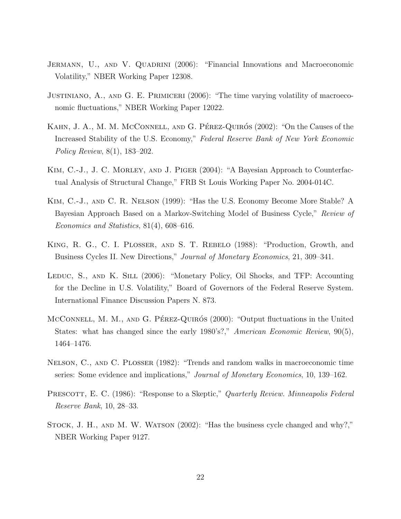- JERMANN, U., AND V. QUADRINI (2006): "Financial Innovations and Macroeconomic Volatility," NBER Working Paper 12308.
- Justiniano, A., and G. E. Primiceri (2006): "The time varying volatility of macroeconomic fluctuations," NBER Working Paper 12022.
- KAHN, J. A., M. M. MCCONNELL, AND G. PÉREZ-QUIRÓS (2002): "On the Causes of the Increased Stability of the U.S. Economy," Federal Reserve Bank of New York Economic Policy Review, 8(1), 183–202.
- KIM, C.-J., J. C. MORLEY, AND J. PIGER (2004): "A Bayesian Approach to Counterfactual Analysis of Structural Change," FRB St Louis Working Paper No. 2004-014C.
- Kim, C.-J., and C. R. Nelson (1999): "Has the U.S. Economy Become More Stable? A Bayesian Approach Based on a Markov-Switching Model of Business Cycle," Review of Economics and Statistics, 81(4), 608–616.
- King, R. G., C. I. Plosser, and S. T. Rebelo (1988): "Production, Growth, and Business Cycles II. New Directions," Journal of Monetary Economics, 21, 309–341.
- LEDUC, S., AND K. SILL (2006): "Monetary Policy, Oil Shocks, and TFP: Accounting for the Decline in U.S. Volatility," Board of Governors of the Federal Reserve System. International Finance Discussion Papers N. 873.
- McConnell, M. M., AND G. PÉREZ-QUIRÓS (2000): "Output fluctuations in the United States: what has changed since the early 1980's?," American Economic Review, 90(5), 1464–1476.
- Nelson, C., and C. Plosser (1982): "Trends and random walks in macroeconomic time series: Some evidence and implications," *Journal of Monetary Economics*, 10, 139–162.
- PRESCOTT, E. C. (1986): "Response to a Skeptic," Quarterly Review. Minneapolis Federal Reserve Bank, 10, 28–33.
- STOCK, J. H., AND M. W. WATSON (2002): "Has the business cycle changed and why?," NBER Working Paper 9127.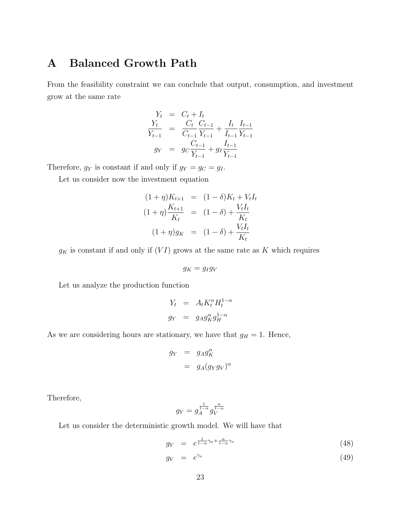## A Balanced Growth Path

From the feasibility constraint we can conclude that output, consumption, and investment grow at the same rate

$$
Y_t = C_t + I_t
$$
  
\n
$$
\frac{Y_t}{Y_{t-1}} = \frac{C_t}{C_{t-1}} \frac{C_{t-1}}{Y_{t-1}} + \frac{I_t}{I_{t-1}} \frac{I_{t-1}}{Y_{t-1}}
$$
  
\n
$$
g_Y = g_C \frac{C_{t-1}}{Y_{t-1}} + g_I \frac{I_{t-1}}{Y_{t-1}}
$$

Therefore,  $g_Y$  is constant if and only if  $g_Y = g_C = g_I$ .

Let us consider now the investment equation

$$
(1 + \eta)K_{t+1} = (1 - \delta)K_t + V_t I_t
$$
  

$$
(1 + \eta)\frac{K_{t+1}}{K_t} = (1 - \delta) + \frac{V_t I_t}{K_t}
$$
  

$$
(1 + \eta)g_K = (1 - \delta) + \frac{V_t I_t}{K_t}
$$

 $g_K$  is constant if and only if  $(VI)$  grows at the same rate as K which requires

$$
g_K = g_I g_V
$$

Let us analyze the production function

$$
Y_t = A_t K_t^{\alpha} H_t^{1-\alpha}
$$
  

$$
g_Y = g_A g_K^{\alpha} g_H^{1-\alpha}
$$

As we are considering hours are stationary, we have that  $g_H = 1$ . Hence,

$$
g_Y = g_A g_K^{\alpha}
$$
  
=  $g_A (g_Y g_V)^{\alpha}$ 

Therefore,

$$
g_Y=g_A^{\frac{1}{1-\alpha}}g_V^{\frac{\alpha}{1-\alpha}}
$$

Let us consider the deterministic growth model. We will have that

$$
g_Y = e^{\frac{1}{1-\alpha}\gamma_a + \frac{\alpha}{1-\alpha}\gamma_v} \tag{48}
$$

$$
g_V = e^{\gamma_v} \tag{49}
$$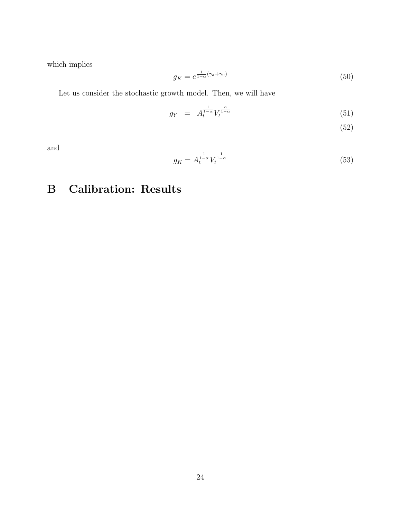which implies

$$
g_K = e^{\frac{1}{1-\alpha}(\gamma_a + \gamma_v)}\tag{50}
$$

Let us consider the stochastic growth model. Then, we will have

$$
g_Y = A_t^{\frac{1}{1-\alpha}} V_t^{\frac{\alpha}{1-\alpha}}
$$
\n
$$
(51)
$$

(52)

and

$$
g_K = A_t^{\frac{1}{1-\alpha}} V_t^{\frac{1}{1-\alpha}}
$$
\n(53)

## B Calibration: Results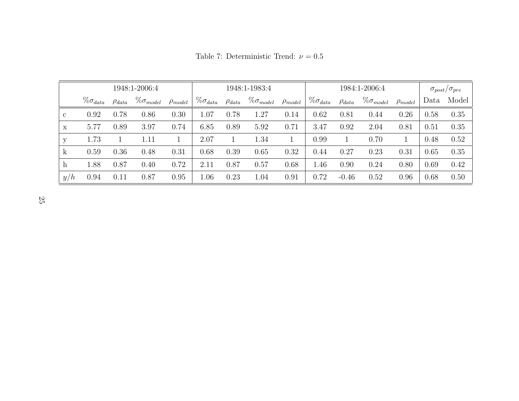|     |                    |               | 1948:1-2006:4       |                |                    |               | 1948:1-1983:4       |                | 1984:1-2006:4      |               |                     |                | $\sigma_{post}/\sigma_{pre}$ |       |
|-----|--------------------|---------------|---------------------|----------------|--------------------|---------------|---------------------|----------------|--------------------|---------------|---------------------|----------------|------------------------------|-------|
|     | $\% \sigma_{data}$ | $\rho_{data}$ | $\% \sigma_{model}$ | $\rho_{model}$ | $\% \sigma_{data}$ | $\rho_{data}$ | $\% \sigma_{model}$ | $\rho_{model}$ | $\% \sigma_{data}$ | $\rho_{data}$ | $\% \sigma_{model}$ | $\rho_{model}$ | Data                         | Model |
| C   | 0.92               | 0.78          | 0.86                | 0.30           | $1.07\,$           | 0.78          | 1.27                | 0.14           | 0.62               | 0.81          | 0.44                | 0.26           | 0.58                         | 0.35  |
| X   | 5.77               | 0.89          | 3.97                | 0.74           | 6.85               | 0.89          | 5.92                | 0.71           | 3.47               | 0.92          | 2.04                | 0.81           | 0.51                         | 0.35  |
| V   | 1.73               |               | 1.11                |                | 2.07               |               | 1.34                |                | 0.99               |               | 0.70                |                | 0.48                         | 0.52  |
| k.  | 0.59               | 0.36          | 0.48                | 0.31           | 0.68               | 0.39          | 0.65                | 0.32           | 0.44               | 0.27          | 0.23                | 0.31           | 0.65                         | 0.35  |
| h   | 1.88               | 0.87          | 0.40                | 0.72           | 2.11               | 0.87          | 0.57                | 0.68           | 1.46               | 0.90          | 0.24                | 0.80           | 0.69                         | 0.42  |
| y/h | 0.94               | 0.11          | 0.87                | 0.95           | 1.06               | 0.23          | 1.04                | 0.91           | 0.72               | $-0.46$       | 0.52                | 0.96           | 0.68                         | 0.50  |

Table 7: Deterministic Trend:  $\nu = 0.5$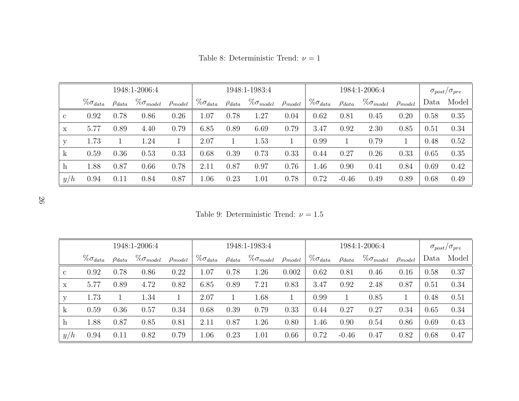|     |                    |               | 1948:1-2006:4       |                |                    |               | 1948:1-1983:4       |                | 1984:1-2006:4      |               |                     |                | $\sigma_{post}/\sigma_{pre}$ |       |
|-----|--------------------|---------------|---------------------|----------------|--------------------|---------------|---------------------|----------------|--------------------|---------------|---------------------|----------------|------------------------------|-------|
|     | $\% \sigma_{data}$ | $\rho_{data}$ | $\% \sigma_{model}$ | $\rho_{model}$ | $\% \sigma_{data}$ | $\rho_{data}$ | $\% \sigma_{model}$ | $\rho_{model}$ | $\% \sigma_{data}$ | $\rho_{data}$ | $\% \sigma_{model}$ | $\rho_{model}$ | Data                         | Model |
| C   | 0.92               | 0.78          | 0.86                | 0.26           | $1.07\,$           | 0.78          | 1.27                | 0.04           | 0.62               | 0.81          | 0.45                | 0.20           | 0.58                         | 0.35  |
| X   | 5.77               | 0.89          | 4.40                | 0.79           | 6.85               | 0.89          | 6.69                | 0.79           | 3.47               | 0.92          | 2.30                | 0.85           | 0.51                         | 0.34  |
| V   | 1.73               |               | 1.24                |                | 2.07               |               | 1.53                |                | 0.99               |               | 0.79                |                | 0.48                         | 0.52  |
| k.  | 0.59               | 0.36          | 0.53                | 0.33           | 0.68               | 0.39          | 0.73                | 0.33           | 0.44               | 0.27          | 0.26                | 0.33           | 0.65                         | 0.35  |
| h   | 1.88               | 0.87          | 0.66                | 0.78           | 2.11               | 0.87          | 0.97                | 0.76           | .46                | 0.90          | 0.41                | 0.84           | 0.69                         | 0.42  |
| y/h | 0.94               | 0.11          | 0.84                | 0.87           | 1.06               | 0.23          | 1.01                | 0.78           | 0.72               | $-0.46$       | 0.49                | 0.89           | 0.68                         | 0.49  |

Table 8: Deterministic Trend:  $\nu = 1$ 

26

Table 9: Deterministic Trend:  $\nu = 1.5$ 

|              |                    |               | 1948:1-2006:4       |                | 1948:1-1983:4      |               |                     |                | 1984:1-2006:4      |               |                     |                | $\sigma_{post}/\sigma_{pre}$ |       |
|--------------|--------------------|---------------|---------------------|----------------|--------------------|---------------|---------------------|----------------|--------------------|---------------|---------------------|----------------|------------------------------|-------|
|              | $\% \sigma_{data}$ | $\rho_{data}$ | $\% \sigma_{model}$ | $\rho_{model}$ | $\% \sigma_{data}$ | $\rho_{data}$ | $\% \sigma_{model}$ | $\rho_{model}$ | $\% \sigma_{data}$ | $\rho_{data}$ | $\% \sigma_{model}$ | $\rho_{model}$ | Data                         | Model |
| $\mathbf{c}$ | 0.92               | 0.78          | 0.86                | 0.22           | $1.07\,$           | 0.78          | 1.26                | 0.002          | 0.62               | 0.81          | 0.46                | 0.16           | 0.58                         | 0.37  |
| $\mathbf x$  | 5.77               | 0.89          | 4.72                | 0.82           | 6.85               | 0.89          | 7.21                | 0.83           | 3.47               | 0.92          | 2.48                | 0.87           | 0.51                         | 0.34  |
| У            | 1.73               |               | 1.34                |                | 2.07               |               | 1.68                |                | 0.99               |               | 0.85                |                | 0.48                         | 0.51  |
| $\mathbf k$  | 0.59               | 0.36          | 0.57                | 0.34           | 0.68               | 0.39          | 0.79                | 0.33           | 0.44               | 0.27          | 0.27                | 0.34           | 0.65                         | 0.34  |
| h            | 1.88               | 0.87          | 0.85                | 0.81           | 2.11               | 0.87          | 1.26                | 0.80           | 1.46               | 0.90          | 0.54                | 0.86           | 0.69                         | 0.43  |
| y/h          | 0.94               | 0.11          | 0.82                | 0.79           | 1.06               | 0.23          | 1.01                | 0.66           | 0.72               | $-0.46$       | 0.47                | 0.82           | 0.68                         | 0.47  |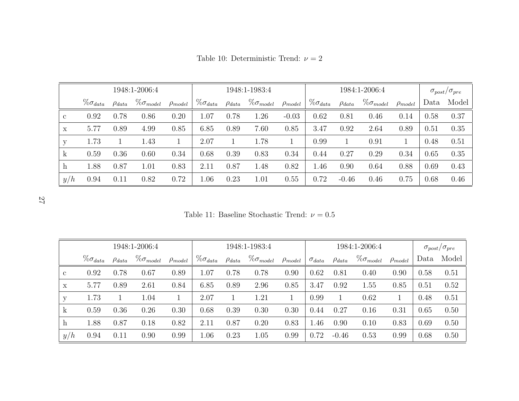|              |                    |               | 1948:1-2006:4       |                | 1948:1-1983:4      |               |                     |                | 1984:1-2006:4      |               |                     |                | $\sigma_{post}/\sigma_{pre}$ |       |
|--------------|--------------------|---------------|---------------------|----------------|--------------------|---------------|---------------------|----------------|--------------------|---------------|---------------------|----------------|------------------------------|-------|
|              | $\% \sigma_{data}$ | $\rho_{data}$ | $\% \sigma_{model}$ | $\rho_{model}$ | $\% \sigma_{data}$ | $\rho_{data}$ | $\% \sigma_{model}$ | $\rho_{model}$ | $\% \sigma_{data}$ | $\rho_{data}$ | $\% \sigma_{model}$ | $\rho_{model}$ | Data                         | Model |
| $\mathbf{c}$ | 0.92               | 0.78          | 0.86                | 0.20           | 1.07               | 0.78          | 1.26                | $-0.03$        | 0.62               | 0.81          | 0.46                | 0.14           | 0.58                         | 0.37  |
| X            | 5.77               | 0.89          | 4.99                | 0.85           | 6.85               | 0.89          | 7.60                | 0.85           | 3.47               | 0.92          | 2.64                | 0.89           | 0.51                         | 0.35  |
| у            | 1.73               |               | 1.43                |                | 2.07               |               | 1.78                |                | 0.99               |               | 0.91                |                | 0.48                         | 0.51  |
| k            | 0.59               | 0.36          | 0.60                | 0.34           | 0.68               | 0.39          | 0.83                | 0.34           | 0.44               | 0.27          | 0.29                | 0.34           | 0.65                         | 0.35  |
| h            | 1.88               | 0.87          | 1.01                | 0.83           | 2.11               | 0.87          | 1.48                | 0.82           | 1.46               | 0.90          | 0.64                | 0.88           | 0.69                         | 0.43  |
| y/h          | 0.94               | 0.11          | 0.82                | 0.72           | 1.06               | 0.23          | 1.01                | 0.55           | 0.72               | $-0.46$       | 0.46                | 0.75           | 0.68                         | 0.46  |

Table 10: Deterministic Trend:  $\nu = 2$ 

27

Table 11: Baseline Stochastic Trend:  $\nu=0.5$ 

|              |                    |               | 1948:1-2006:4       |                |                    | 1948:1-1983:4 | 1984:1-2006:4       |                |                 |               | $\sigma_{post}/\sigma_{pre}$ |                |      |       |
|--------------|--------------------|---------------|---------------------|----------------|--------------------|---------------|---------------------|----------------|-----------------|---------------|------------------------------|----------------|------|-------|
|              | $\% \sigma_{data}$ | $\rho_{data}$ | $\% \sigma_{model}$ | $\rho_{model}$ | $\% \sigma_{data}$ | $\rho_{data}$ | $\% \sigma_{model}$ | $\rho_{model}$ | $\sigma_{data}$ | $\rho_{data}$ | $\% \sigma_{model}$          | $\rho_{model}$ | Data | Model |
| $\mathbf{c}$ | 0.92               | 0.78          | 0.67                | 0.89           | 1.07               | 0.78          | 0.78                | 0.90           | 0.62            | 0.81          | 0.40                         | 0.90           | 0.58 | 0.51  |
| $\mathbf x$  | 5.77               | 0.89          | 2.61                | 0.84           | 6.85               | 0.89          | 2.96                | 0.85           | 3.47            | 0.92          | 1.55                         | 0.85           | 0.51 | 0.52  |
| V            | 1.73               |               | 1.04                |                | 2.07               |               | 1.21                |                | 0.99            |               | 0.62                         |                | 0.48 | 0.51  |
| k            | 0.59               | 0.36          | 0.26                | 0.30           | 0.68               | 0.39          | 0.30                | 0.30           | 0.44            | 0.27          | 0.16                         | 0.31           | 0.65 | 0.50  |
| h            | 1.88               | 0.87          | 0.18                | 0.82           | 2.11               | 0.87          | 0.20                | 0.83           | 1.46            | 0.90          | 0.10                         | 0.83           | 0.69 | 0.50  |
| y/h          | 0.94               | 0.11          | 0.90                | 0.99           | 1.06               | 0.23          | 1.05                | 0.99           | 0.72            | $-0.46$       | 0.53                         | 0.99           | 0.68 | 0.50  |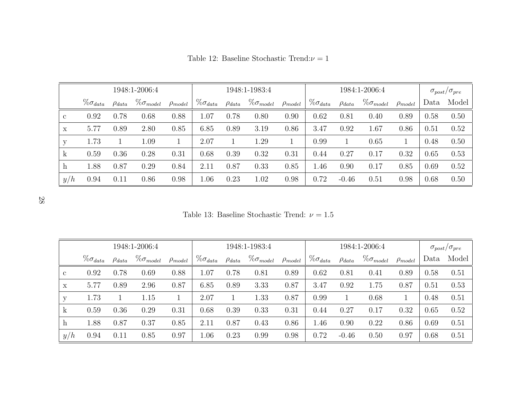|             |                    |               | 1948:1-2006:4       |                |                    |               | 1948:1-1983:4       |                | 1984:1-2006:4      |               |                     |                | $\sigma_{post}/\sigma_{pre}$ |       |
|-------------|--------------------|---------------|---------------------|----------------|--------------------|---------------|---------------------|----------------|--------------------|---------------|---------------------|----------------|------------------------------|-------|
|             | $\% \sigma_{data}$ | $\rho_{data}$ | $\% \sigma_{model}$ | $\rho_{model}$ | $\% \sigma_{data}$ | $\rho_{data}$ | $\% \sigma_{model}$ | $\rho_{model}$ | $\% \sigma_{data}$ | $\rho_{data}$ | $\% \sigma_{model}$ | $\rho_{model}$ | Data                         | Model |
| $\mathbf c$ | 0.92               | 0.78          | 0.68                | 0.88           | $1.07\,$           | 0.78          | 0.80                | 0.90           | 0.62               | 0.81          | 0.40                | 0.89           | 0.58                         | 0.50  |
| X           | 5.77               | 0.89          | 2.80                | 0.85           | 6.85               | 0.89          | 3.19                | 0.86           | 3.47               | 0.92          | 1.67                | 0.86           | 0.51                         | 0.52  |
| у           | 1.73               |               | 1.09                |                | $2.07\,$           |               | 1.29                |                | 0.99               |               | 0.65                |                | 0.48                         | 0.50  |
| k           | 0.59               | 0.36          | 0.28                | 0.31           | 0.68               | 0.39          | 0.32                | 0.31           | 0.44               | 0.27          | 0.17                | 0.32           | 0.65                         | 0.53  |
| h           | 1.88               | 0.87          | 0.29                | 0.84           | $2.11\,$           | 0.87          | 0.33                | 0.85           | 1.46               | 0.90          | 0.17                | 0.85           | 0.69                         | 0.52  |
| y/h         | 0.94               | 0.11          | 0.86                | 0.98           | 1.06               | 0.23          | 1.02                | 0.98           | 0.72               | $-0.46$       | 0.51                | 0.98           | 0.68                         | 0.50  |

Table 12: Baseline Stochastic Trend: $\nu = 1$ 

28

Table 13: Baseline Stochastic Trend:  $\nu = 1.5$ 

|              |                    |               | 1948:1-2006:4       |                |                    |               | 1948:1-1983:4       |                |                    |               | 1984:1-2006:4       |                | $\sigma_{post}/\sigma_{pre}$ |       |
|--------------|--------------------|---------------|---------------------|----------------|--------------------|---------------|---------------------|----------------|--------------------|---------------|---------------------|----------------|------------------------------|-------|
|              | $\% \sigma_{data}$ | $\rho_{data}$ | $\% \sigma_{model}$ | $\rho_{model}$ | $\% \sigma_{data}$ | $\rho_{data}$ | $\% \sigma_{model}$ | $\rho_{model}$ | $\% \sigma_{data}$ | $\rho_{data}$ | $\% \sigma_{model}$ | $\rho_{model}$ | Data                         | Model |
| $\mathbf{c}$ | 0.92               | 0.78          | 0.69                | 0.88           | 1.07               | 0.78          | 0.81                | 0.89           | 0.62               | 0.81          | 0.41                | 0.89           | 0.58                         | 0.51  |
| $\mathbf x$  | 5.77               | 0.89          | 2.96                | 0.87           | 6.85               | 0.89          | 3.33                | 0.87           | 3.47               | 0.92          | 1.75                | 0.87           | 0.51                         | 0.53  |
| У            | 1.73               |               | 1.15                |                | 2.07               |               | 1.33                | 0.87           | 0.99               |               | 0.68                |                | 0.48                         | 0.51  |
| $\mathbf k$  | 0.59               | 0.36          | 0.29                | 0.31           | 0.68               | 0.39          | 0.33                | 0.31           | 0.44               | 0.27          | 0.17                | 0.32           | 0.65                         | 0.52  |
| h            | 1.88               | 0.87          | 0.37                | 0.85           | 2.11               | 0.87          | 0.43                | 0.86           | 1.46               | 0.90          | 0.22                | 0.86           | 0.69                         | 0.51  |
| y/h          | 0.94               | 0.11          | 0.85                | 0.97           | 1.06               | 0.23          | 0.99                | 0.98           | 0.72               | $-0.46$       | 0.50                | 0.97           | 0.68                         | 0.51  |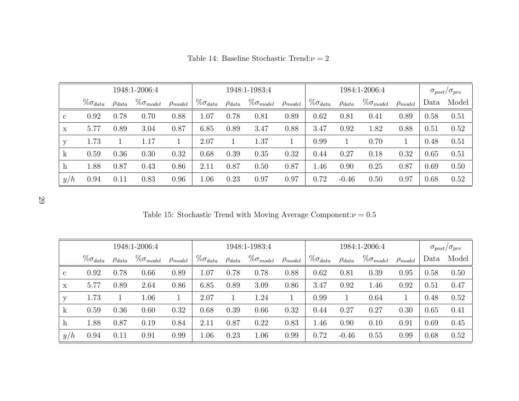|             |                    |               | 1948:1-2006:4       |                |                    |               | 1948:1-1983:4       |                |                    |               | 1984:1-2006:4       |                | $\sigma_{post}/\sigma_{pre}$ |       |
|-------------|--------------------|---------------|---------------------|----------------|--------------------|---------------|---------------------|----------------|--------------------|---------------|---------------------|----------------|------------------------------|-------|
|             | $\% \sigma_{data}$ | $\rho_{data}$ | $\% \sigma_{model}$ | $\rho_{model}$ | $\% \sigma_{data}$ | $\rho_{data}$ | $\% \sigma_{model}$ | $\rho_{model}$ | $\% \sigma_{data}$ | $\rho_{data}$ | $\% \sigma_{model}$ | $\rho_{model}$ | Data                         | Model |
| $\mathbf c$ | 0.92               | 0.78          | 0.70                | 0.88           | $1.07\,$           | 0.78          | 0.81                | 0.89           | 0.62               | 0.81          | 0.41                | 0.89           | 0.58                         | 0.51  |
| X           | 5.77               | 0.89          | 3.04                | 0.87           | 6.85               | 0.89          | 3.47                | 0.88           | 3.47               | 0.92          | 1.82                | 0.88           | 0.51                         | 0.52  |
| у           | 1.73               |               | 1.17                |                | $2.07\,$           |               | 1.37                |                | 0.99               |               | 0.70                |                | 0.48                         | 0.51  |
| k           | 0.59               | 0.36          | 0.30                | 0.32           | 0.68               | 0.39          | 0.35                | 0.32           | 0.44               | 0.27          | 0.18                | 0.32           | 0.65                         | 0.51  |
| h           | 1.88               | 0.87          | 0.43                | 0.86           | $2.11\,$           | 0.87          | 0.50                | 0.87           | 1.46               | 0.90          | 0.25                | 0.87           | 0.69                         | 0.50  |
| y/h         | 0.94               | 0.11          | 0.83                | 0.96           | 1.06               | 0.23          | 0.97                | 0.97           | 0.72               | $-0.46$       | 0.50                | 0.97           | 0.68                         | 0.52  |

Table 14: Baseline Stochastic Trend: $\nu = 2$ 

29

Table 15: Stochastic Trend with Moving Average Component: $\nu=0.5$ 

|              |                    |               | 1948:1-2006:4       |                |                    |               | 1948:1-1983:4       |                |                    |               | 1984:1-2006:4       |                | $\sigma_{post}/\sigma_{pre}$ |       |
|--------------|--------------------|---------------|---------------------|----------------|--------------------|---------------|---------------------|----------------|--------------------|---------------|---------------------|----------------|------------------------------|-------|
|              | $\% \sigma_{data}$ | $\rho_{data}$ | $\% \sigma_{model}$ | $\rho_{model}$ | $\% \sigma_{data}$ | $\rho_{data}$ | $\% \sigma_{model}$ | $\rho_{model}$ | $\% \sigma_{data}$ | $\rho_{data}$ | $\% \sigma_{model}$ | $\rho_{model}$ | Data                         | Model |
| $\mathbf{c}$ | 0.92               | 0.78          | 0.66                | 0.89           | $1.07\,$           | 0.78          | 0.78                | 0.88           | 0.62               | 0.81          | 0.39                | 0.95           | 0.58                         | 0.50  |
| $\mathbf x$  | 5.77               | 0.89          | 2.64                | 0.86           | 6.85               | 0.89          | 3.09                | 0.86           | 3.47               | 0.92          | 1.46                | 0.92           | 0.51                         | 0.47  |
| У            | 1.73               |               | 1.06                |                | 2.07               |               | 1.24                |                | 0.99               |               | 0.64                |                | 0.48                         | 0.52  |
| $\mathbf{k}$ | 0.59               | 0.36          | 0.60                | 0.32           | 0.68               | 0.39          | 0.66                | 0.32           | 0.44               | 0.27          | 0.27                | 0.30           | 0.65                         | 0.41  |
| h            | 1.88               | 0.87          | 0.19                | 0.84           | 2.11               | 0.87          | 0.22                | 0.83           | 1.46               | 0.90          | 0.10                | 0.91           | 0.69                         | 0.45  |
| y/h          | 0.94               | 0.11          | 0.91                | 0.99           | 1.06               | 0.23          | 1.06                | 0.99           | 0.72               | $-0.46$       | 0.55                | 0.99           | 0.68                         | 0.52  |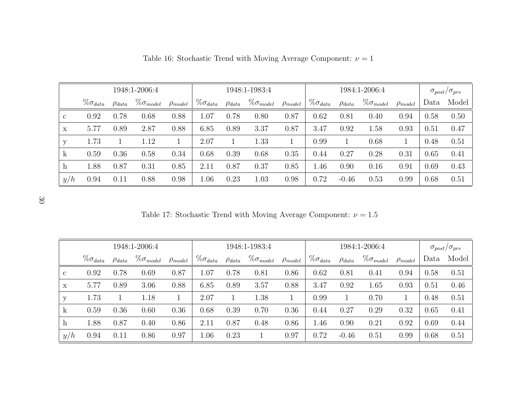|              |                    |               | 1948:1-2006:4       |                |                    |               | 1948:1-1983:4       |                |                    |               | 1984:1-2006:4       |                | $\sigma_{post}/\sigma_{pre}$ |       |
|--------------|--------------------|---------------|---------------------|----------------|--------------------|---------------|---------------------|----------------|--------------------|---------------|---------------------|----------------|------------------------------|-------|
|              | $\% \sigma_{data}$ | $\rho_{data}$ | $\% \sigma_{model}$ | $\rho_{model}$ | $\% \sigma_{data}$ | $\rho_{data}$ | $\% \sigma_{model}$ | $\rho_{model}$ | $\% \sigma_{data}$ | $\rho_{data}$ | $\% \sigma_{model}$ | $\rho_{model}$ | Data                         | Model |
| $\mathbf{c}$ | 0.92               | 0.78          | 0.68                | 0.88           | 1.07               | 0.78          | 0.80                | 0.87           | 0.62               | 0.81          | 0.40                | 0.94           | 0.58                         | 0.50  |
| X            | 5.77               | 0.89          | 2.87                | 0.88           | 6.85               | 0.89          | 3.37                | 0.87           | 3.47               | 0.92          | 1.58                | 0.93           | 0.51                         | 0.47  |
| у            | 1.73               |               | 1.12                |                | 2.07               |               | 1.33                |                | 0.99               |               | 0.68                |                | 0.48                         | 0.51  |
| $\mathbf k$  | 0.59               | 0.36          | 0.58                | 0.34           | 0.68               | 0.39          | 0.68                | 0.35           | 0.44               | 0.27          | 0.28                | 0.31           | 0.65                         | 0.41  |
| h            | 1.88               | 0.87          | 0.31                | 0.85           | 2.11               | 0.87          | 0.37                | 0.85           | 1.46               | 0.90          | 0.16                | 0.91           | 0.69                         | 0.43  |
| y/h          | 0.94               | 0.11          | 0.88                | 0.98           | 1.06               | 0.23          | 1.03                | 0.98           | 0.72               | $-0.46$       | 0.53                | 0.99           | 0.68                         | 0.51  |

Table 16: Stochastic Trend with Moving Average Component:  $\nu = 1$ 

30

Table 17: Stochastic Trend with Moving Average Component:  $\nu = 1.5$ 

|              |                    |               | 1948:1-2006:4       |                |                    |               | 1948:1-1983:4       |                |                    |               | 1984:1-2006:4       |                | $\sigma_{post}/\sigma_{pre}$ |       |
|--------------|--------------------|---------------|---------------------|----------------|--------------------|---------------|---------------------|----------------|--------------------|---------------|---------------------|----------------|------------------------------|-------|
|              | $\% \sigma_{data}$ | $\rho_{data}$ | $\% \sigma_{model}$ | $\rho_{model}$ | $\% \sigma_{data}$ | $\rho_{data}$ | $\% \sigma_{model}$ | $\rho_{model}$ | $\% \sigma_{data}$ | $\rho_{data}$ | $\% \sigma_{model}$ | $\rho_{model}$ | Data                         | Model |
| $\mathbf{c}$ | 0.92               | 0.78          | 0.69                | 0.87           | $1.07\,$           | 0.78          | 0.81                | 0.86           | 0.62               | 0.81          | 0.41                | 0.94           | 0.58                         | 0.51  |
| X            | 5.77               | 0.89          | 3.06                | 0.88           | 6.85               | 0.89          | 3.57                | 0.88           | 3.47               | 0.92          | 1.65                | 0.93           | 0.51                         | 0.46  |
| У            | 1.73               |               | 1.18                |                | 2.07               |               | 1.38                |                | 0.99               |               | 0.70                |                | 0.48                         | 0.51  |
| $\mathbf{k}$ | 0.59               | 0.36          | 0.60                | 0.36           | 0.68               | 0.39          | 0.70                | 0.36           | 0.44               | 0.27          | 0.29                | 0.32           | 0.65                         | 0.41  |
| $\hbar$      | 1.88               | 0.87          | 0.40                | 0.86           | 2.11               | 0.87          | 0.48                | 0.86           | 1.46               | 0.90          | 0.21                | 0.92           | 0.69                         | 0.44  |
| y/h          | 0.94               | 0.11          | 0.86                | 0.97           | 1.06               | 0.23          |                     | 0.97           | 0.72               | $-0.46$       | 0.51                | 0.99           | 0.68                         | 0.51  |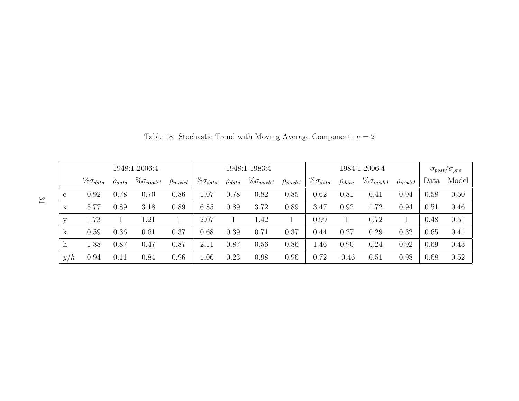|              |                    |               | 1948:1-2006:4       |                |                    |               | 1948:1-1983:4       |                |                    |               | 1984:1-2006:4       |                | $\sigma_{post}/\sigma_{pre}$ |       |
|--------------|--------------------|---------------|---------------------|----------------|--------------------|---------------|---------------------|----------------|--------------------|---------------|---------------------|----------------|------------------------------|-------|
|              | $\% \sigma_{data}$ | $\rho_{data}$ | $\% \sigma_{model}$ | $\rho_{model}$ | $\% \sigma_{data}$ | $\rho_{data}$ | $\% \sigma_{model}$ | $\rho_{model}$ | $\% \sigma_{data}$ | $\rho_{data}$ | $\% \sigma_{model}$ | $\rho_{model}$ | Data                         | Model |
| $\mathbf{c}$ | 0.92               | 0.78          | 0.70                | 0.86           | $1.07\,$           | 0.78          | 0.82                | 0.85           | 0.62               | 0.81          | 0.41                | 0.94           | 0.58                         | 0.50  |
| $\mathbf x$  | 5.77               | 0.89          | 3.18                | 0.89           | 6.85               | 0.89          | 3.72                | 0.89           | 3.47               | 0.92          | 1.72                | 0.94           | 0.51                         | 0.46  |
| y            | 1.73               |               | 1.21                |                | 2.07               |               | 1.42                |                | 0.99               |               | 0.72                |                | 0.48                         | 0.51  |
| $\mathbf k$  | 0.59               | 0.36          | 0.61                | 0.37           | 0.68               | 0.39          | 0.71                | 0.37           | 0.44               | 0.27          | 0.29                | 0.32           | 0.65                         | 0.41  |
| $\mathbf h$  | 1.88               | 0.87          | 0.47                | 0.87           | 2.11               | 0.87          | 0.56                | 0.86           | 1.46               | 0.90          | 0.24                | 0.92           | 0.69                         | 0.43  |
| y/h          | 0.94               | 0.11          | 0.84                | 0.96           | 1.06               | 0.23          | 0.98                | 0.96           | 0.72               | $-0.46$       | 0.51                | 0.98           | 0.68                         | 0.52  |

Table 18: Stochastic Trend with Moving Average Component:  $\nu = 2$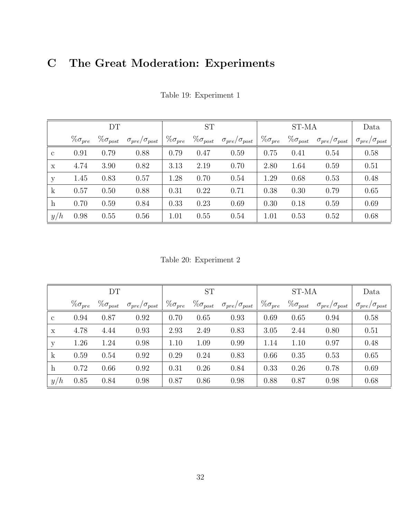## C The Great Moderation: Experiments

|                           |                   | DT                 |                              |                   | <b>ST</b>          |                              |                   | ST-MA              |                              | Data                         |
|---------------------------|-------------------|--------------------|------------------------------|-------------------|--------------------|------------------------------|-------------------|--------------------|------------------------------|------------------------------|
|                           | $\% \sigma_{pre}$ | $\% \sigma_{post}$ | $\sigma_{pre}/\sigma_{post}$ | $\% \sigma_{pre}$ | $\% \sigma_{post}$ | $\sigma_{pre}/\sigma_{post}$ | $\% \sigma_{pre}$ | $\% \sigma_{post}$ | $\sigma_{pre}/\sigma_{post}$ | $\sigma_{pre}/\sigma_{post}$ |
| $\mathbf{c}$              | 0.91              | 0.79               | 0.88                         | 0.79              | 0.47               | 0.59                         | 0.75              | 0.41               | 0.54                         | 0.58                         |
| X                         | 4.74              | 3.90               | 0.82                         | 3.13              | 2.19               | 0.70                         | 2.80              | 1.64               | 0.59                         | 0.51                         |
| y                         | 1.45              | 0.83               | 0.57                         | 1.28              | 0.70               | 0.54                         | 1.29              | 0.68               | 0.53                         | 0.48                         |
| $\mathbf{k}$              | 0.57              | 0.50               | 0.88                         | 0.31              | 0.22               | 0.71                         | 0.38              | 0.30               | 0.79                         | 0.65                         |
| $\boldsymbol{\mathrm{h}}$ | 0.70              | 0.59               | 0.84                         | 0.33              | 0.23               | 0.69                         | 0.30              | 0.18               | 0.59                         | 0.69                         |
| y/h                       | 0.98              | 0.55               | 0.56                         | 1.01              | 0.55               | 0.54                         | 1.01              | 0.53               | 0.52                         | 0.68                         |

Table 19: Experiment 1

Table 20: Experiment 2

|              |                   | DT                 |                              |                   | <b>ST</b>          |                              |                   | ST-MA              |                              | Data                         |
|--------------|-------------------|--------------------|------------------------------|-------------------|--------------------|------------------------------|-------------------|--------------------|------------------------------|------------------------------|
|              | $\% \sigma_{pre}$ | $\% \sigma_{post}$ | $\sigma_{pre}/\sigma_{post}$ | $\% \sigma_{pre}$ | $\% \sigma_{post}$ | $\sigma_{pre}/\sigma_{post}$ | $\% \sigma_{pre}$ | $\% \sigma_{post}$ | $\sigma_{pre}/\sigma_{post}$ | $\sigma_{pre}/\sigma_{post}$ |
| $\mathbf{c}$ | 0.94              | 0.87               | 0.92                         | 0.70              | 0.65               | 0.93                         | 0.69              | 0.65               | 0.94                         | 0.58                         |
| X            | 4.78              | 4.44               | 0.93                         | 2.93              | 2.49               | 0.83                         | 3.05              | 2.44               | 0.80                         | 0.51                         |
| У            | 1.26              | 1.24               | 0.98                         | 1.10              | 1.09               | 0.99                         | 1.14              | 1.10               | 0.97                         | 0.48                         |
| $\mathbf{k}$ | 0.59              | 0.54               | 0.92                         | 0.29              | 0.24               | 0.83                         | 0.66              | 0.35               | 0.53                         | 0.65                         |
| $\mathbf{h}$ | 0.72              | 0.66               | 0.92                         | 0.31              | 0.26               | 0.84                         | 0.33              | 0.26               | 0.78                         | 0.69                         |
| y/h          | 0.85              | 0.84               | 0.98                         | 0.87              | 0.86               | 0.98                         | 0.88              | 0.87               | 0.98                         | 0.68                         |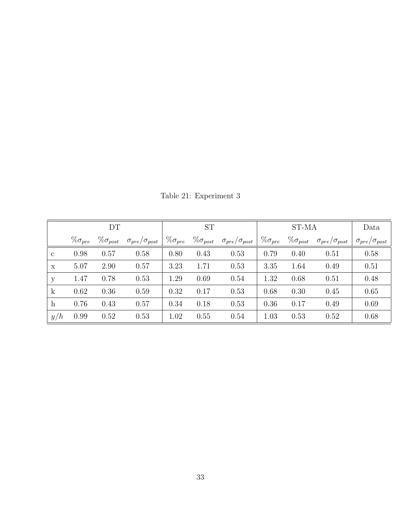|                           |                   | DT                 |                              |                   | <b>ST</b>          |                              |                   | ST-MA              |                              | Data                         |
|---------------------------|-------------------|--------------------|------------------------------|-------------------|--------------------|------------------------------|-------------------|--------------------|------------------------------|------------------------------|
|                           | $\% \sigma_{pre}$ | $\% \sigma_{post}$ | $\sigma_{pre}/\sigma_{post}$ | $\% \sigma_{pre}$ | $\% \sigma_{post}$ | $\sigma_{pre}/\sigma_{post}$ | $\% \sigma_{pre}$ | $\% \sigma_{post}$ | $\sigma_{pre}/\sigma_{post}$ | $\sigma_{pre}/\sigma_{post}$ |
| $\mathbf{c}$              | 0.98              | 0.57               | 0.58                         | 0.80              | 0.43               | 0.53                         | 0.79              | 0.40               | 0.51                         | 0.58                         |
| $\mathbf x$               | 5.07              | 2.90               | 0.57                         | 3.23              | 1.71               | 0.53                         | 3.35              | 1.64               | 0.49                         | 0.51                         |
| У                         | 1.47              | 0.78               | 0.53                         | 1.29              | 0.69               | 0.54                         | 1.32              | 0.68               | 0.51                         | 0.48                         |
| $\mathbf{k}$              | 0.62              | 0.36               | 0.59                         | 0.32              | 0.17               | 0.53                         | 0.68              | 0.30               | 0.45                         | 0.65                         |
| $\boldsymbol{\mathrm{h}}$ | 0.76              | 0.43               | 0.57                         | 0.34              | 0.18               | 0.53                         | 0.36              | 0.17               | 0.49                         | 0.69                         |
| y/h                       | 0.99              | 0.52               | 0.53                         | 1.02              | 0.55               | 0.54                         | 1.03              | 0.53               | 0.52                         | 0.68                         |

Table 21: Experiment 3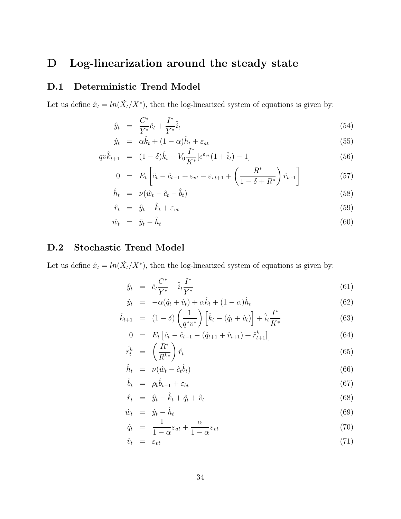## D Log-linearization around the steady state

### D.1 Deterministic Trend Model

Let us define  $\hat{x}_t = ln(\tilde{X}_t / X^*)$ , then the log-linearized system of equations is given by:

$$
\hat{y}_t = \frac{C^*}{Y^*} \hat{c}_t + \frac{I^*}{Y^*} \hat{i}_t \tag{54}
$$

$$
\hat{y}_t = \alpha \hat{k}_t + (1 - \alpha) \hat{h}_t + \varepsilon_{at} \tag{55}
$$

$$
qv\hat{k}_{t+1} = (1 - \delta)\hat{k}_t + V_0 \frac{I^*}{K^*} [e^{\varepsilon_{vt}} (1 + \hat{i}_t) - 1]
$$
\n(56)

$$
0 = E_t \left[ \hat{c}_t - \hat{c}_{t-1} + \varepsilon_{vt} - \varepsilon_{vt+1} + \left( \frac{R^*}{1 - \delta + R^*} \right) \hat{r}_{t+1} \right]
$$
(57)

$$
\hat{h}_t = \nu(\hat{w}_t - \hat{c}_t - \hat{b}_t) \tag{58}
$$

$$
\hat{r}_t = \hat{y}_t - \hat{k}_t + \varepsilon_{vt} \tag{59}
$$

$$
\hat{w}_t = \hat{y}_t - \hat{h}_t \tag{60}
$$

### D.2 Stochastic Trend Model

Let us define  $\hat{x}_t = \ln(\tilde{X}_t/X^*)$ , then the log-linearized system of equations is given by:

$$
\hat{y}_t = \hat{c}_t \frac{C^*}{Y^*} + \hat{i}_t \frac{I^*}{Y^*}
$$
\n(61)

$$
\hat{y}_t = -\alpha(\hat{q}_t + \hat{v}_t) + \alpha \hat{k}_t + (1 - \alpha)\hat{h}_t
$$
\n(62)

$$
\hat{k}_{t+1} = (1 - \delta) \left(\frac{1}{q^* v^*}\right) \left[\hat{k}_t - (\hat{q}_t + \hat{v}_t)\right] + \hat{i}_t \frac{I^*}{K^*}
$$
\n(63)

$$
0 = E_t \left[ \hat{c}_t - \hat{c}_{t-1} - (\hat{q}_{t+1} + \hat{v}_{t+1}) + \hat{r}_{t+1}^k \right] \tag{64}
$$

$$
\hat{r}_t^k = \left(\frac{R^*}{R^{k*}}\right)\hat{r}_t \tag{65}
$$

$$
\hat{h}_t = \nu(\hat{w}_t - \hat{c}_t \hat{b}_t) \tag{66}
$$

$$
\hat{b}_t = \rho_b \hat{b}_{t-1} + \varepsilon_{bt} \tag{67}
$$

$$
\hat{r}_t = \hat{y}_t - \hat{k}_t + \hat{q}_t + \hat{v}_t \tag{68}
$$

$$
\hat{w}_t = \hat{y}_t - \hat{h}_t \tag{69}
$$

$$
\hat{q}_t = \frac{1}{1 - \alpha} \varepsilon_{at} + \frac{\alpha}{1 - \alpha} \varepsilon_{vt} \tag{70}
$$

$$
\hat{v}_t = \varepsilon_{vt} \tag{71}
$$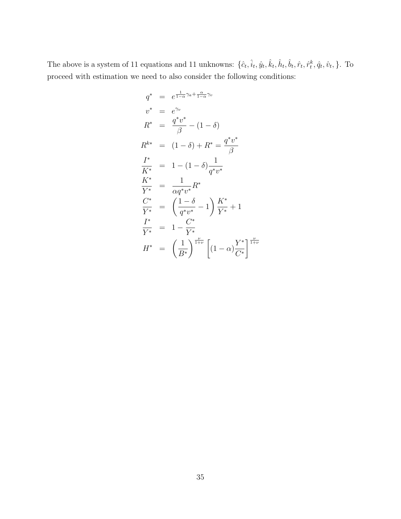The above is a system of 11 equations and 11 unknowns:  $\{\hat{c}_t, \hat{i}_t, \hat{y}_t, \hat{k}_t, \hat{h}_t, \hat{b}_t, \hat{r}_t, \hat{r}_t^k, \hat{q}_t, \hat{v}_t, \}$ . To proceed with estimation we need to also consider the following conditions:

$$
q^* = e^{\frac{1}{1-\alpha}\gamma_a + \frac{\alpha}{1-\alpha}\gamma_v}
$$
  
\n
$$
v^* = e^{\gamma_v}
$$
  
\n
$$
R^* = \frac{q^*v^*}{\beta} - (1-\delta)
$$
  
\n
$$
R^{k*} = (1-\delta) + R^* = \frac{q^*v^*}{\beta}
$$
  
\n
$$
\frac{I^*}{K^*} = 1 - (1-\delta)\frac{1}{q^*v^*}
$$
  
\n
$$
\frac{K^*}{Y^*} = \frac{1}{\alpha q^*v^*}R^*
$$
  
\n
$$
\frac{C^*}{Y^*} = \left(\frac{1-\delta}{q^*v^*} - 1\right)\frac{K^*}{Y^*} + 1
$$
  
\n
$$
\frac{I^*}{Y^*} = 1 - \frac{C^*}{Y^*}
$$
  
\n
$$
H^* = \left(\frac{1}{B^*}\right)^{\frac{\nu}{1+\nu}} \left[(1-\alpha)\frac{Y^*}{C^*}\right]^{\frac{\nu}{1+\nu}}
$$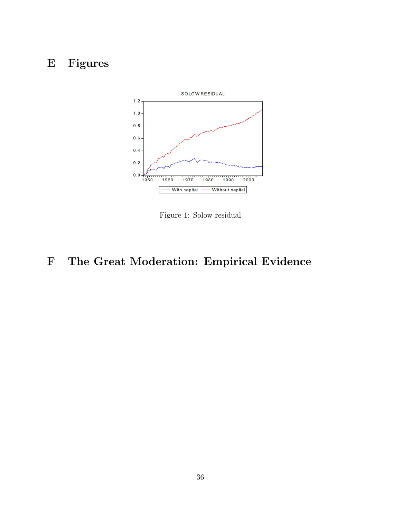## E Figures



Figure 1: Solow residual

## F The Great Moderation: Empirical Evidence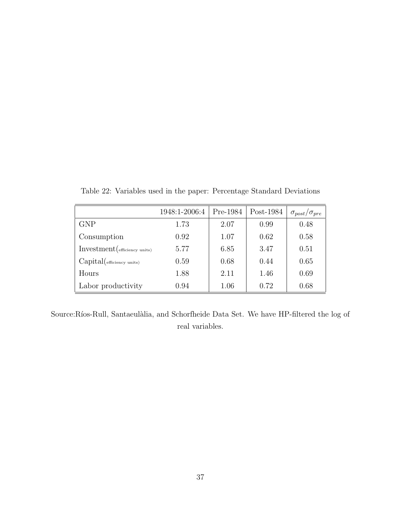|                                               | 1948:1-2006:4 | Pre-1984 | Post-1984 | $\sigma_{post}/\sigma_{pre}$ |
|-----------------------------------------------|---------------|----------|-----------|------------------------------|
| <b>GNP</b>                                    | 1.73          | 2.07     | 0.99      | 0.48                         |
| Consumption                                   | 0.92          | 1.07     | 0.62      | 0.58                         |
| $Investment$ ( $_{\text{efficiency units}}$ ) | 5.77          | 6.85     | 3.47      | 0.51                         |
| Capital(efficiency units)                     | 0.59          | 0.68     | 0.44      | 0.65                         |
| Hours                                         | 1.88          | 2.11     | 1.46      | 0.69                         |
| Labor productivity                            | 0.94          | 1.06     | 0.72      | 0.68                         |

Table 22: Variables used in the paper: Percentage Standard Deviations

Source:Ríos-Rull, Santaeulàlia, and Schorfheide Data Set. We have HP-filtered the log of real variables.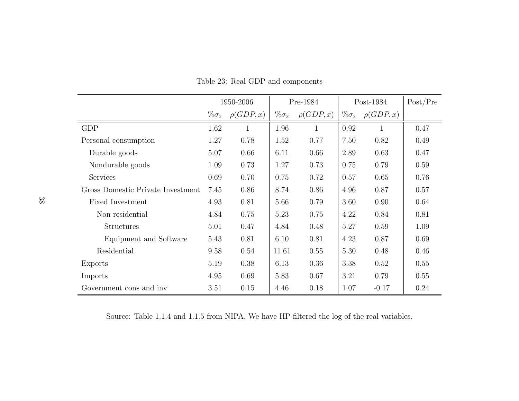|                                   |               | 1950-2006      |               | Pre-1984       |               | Post-1984      | Post/Pre |
|-----------------------------------|---------------|----------------|---------------|----------------|---------------|----------------|----------|
|                                   | $\% \sigma_x$ | $\rho(GDP, x)$ | $\% \sigma_x$ | $\rho(GDP, x)$ | $\% \sigma_x$ | $\rho(GDP, x)$ |          |
| <b>GDP</b>                        | 1.62          | 1              | 1.96          | 1              | 0.92          | 1              | 0.47     |
| Personal consumption              | 1.27          | 0.78           | 1.52          | 0.77           | 7.50          | 0.82           | 0.49     |
| Durable goods                     | 5.07          | 0.66           | 6.11          | 0.66           | 2.89          | 0.63           | 0.47     |
| Nondurable goods                  | 1.09          | 0.73           | 1.27          | 0.73           | 0.75          | 0.79           | 0.59     |
| Services                          | 0.69          | 0.70           | 0.75          | 0.72           | 0.57          | 0.65           | 0.76     |
| Gross Domestic Private Investment | 7.45          | 0.86           | 8.74          | 0.86           | 4.96          | 0.87           | 0.57     |
| <b>Fixed Investment</b>           | 4.93          | 0.81           | 5.66          | 0.79           | 3.60          | 0.90           | 0.64     |
| Non residential                   | 4.84          | 0.75           | 5.23          | 0.75           | 4.22          | 0.84           | 0.81     |
| <b>Structures</b>                 | 5.01          | 0.47           | 4.84          | 0.48           | 5.27          | 0.59           | 1.09     |
| Equipment and Software            | 5.43          | 0.81           | 6.10          | 0.81           | 4.23          | 0.87           | 0.69     |
| Residential                       | 9.58          | 0.54           | 11.61         | 0.55           | 5.30          | 0.48           | 0.46     |
| Exports                           | 5.19          | 0.38           | 6.13          | 0.36           | 3.38          | 0.52           | 0.55     |
| Imports                           | 4.95          | 0.69           | 5.83          | 0.67           | 3.21          | 0.79           | 0.55     |
| Government cons and inv           | 3.51          | 0.15           | 4.46          | 0.18           | 1.07          | $-0.17$        | 0.24     |

Table 23: Real GDP and components

Source: Table 1.1.4 and 1.1.5 from NIPA. We have HP-filtered the log of the real variables.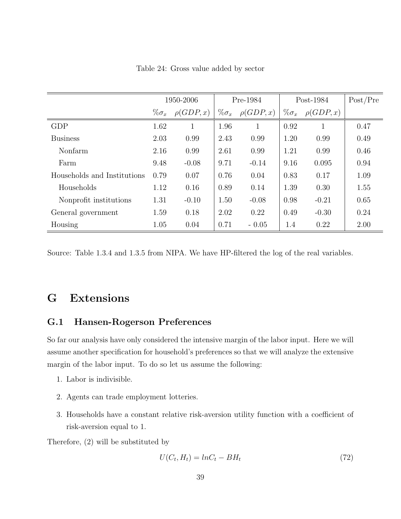|                             |               | 1950-2006      |               | Pre-1984       |               | Post-1984      | Post/Pre |
|-----------------------------|---------------|----------------|---------------|----------------|---------------|----------------|----------|
|                             | $\% \sigma_x$ | $\rho(GDP, x)$ | $\% \sigma_x$ | $\rho(GDP, x)$ | $\% \sigma_x$ | $\rho(GDP, x)$ |          |
| <b>GDP</b>                  | 1.62          | 1              | 1.96          | 1              | 0.92          |                | 0.47     |
| <b>Business</b>             | 2.03          | 0.99           | 2.43          | 0.99           | 1.20          | 0.99           | 0.49     |
| Nonfarm                     | 2.16          | 0.99           | 2.61          | 0.99           | 1.21          | 0.99           | 0.46     |
| Farm                        | 9.48          | $-0.08$        | 9.71          | $-0.14$        | 9.16          | 0.095          | 0.94     |
| Households and Institutions | 0.79          | 0.07           | 0.76          | 0.04           | 0.83          | 0.17           | 1.09     |
| Households                  | 1.12          | 0.16           | 0.89          | 0.14           | 1.39          | 0.30           | 1.55     |
| Nonprofit institutions      | 1.31          | $-0.10$        | 1.50          | $-0.08$        | 0.98          | $-0.21$        | 0.65     |
| General government          | 1.59          | 0.18           | 2.02          | 0.22           | 0.49          | $-0.30$        | 0.24     |
| Housing                     | 1.05          | 0.04           | 0.71          | $-0.05$        | 1.4           | 0.22           | 2.00     |

Table 24: Gross value added by sector

Source: Table 1.3.4 and 1.3.5 from NIPA. We have HP-filtered the log of the real variables.

## G Extensions

### G.1 Hansen-Rogerson Preferences

So far our analysis have only considered the intensive margin of the labor input. Here we will assume another specification for household's preferences so that we will analyze the extensive margin of the labor input. To do so let us assume the following:

- 1. Labor is indivisible.
- 2. Agents can trade employment lotteries.
- 3. Households have a constant relative risk-aversion utility function with a coefficient of risk-aversion equal to 1.

Therefore, (2) will be substituted by

$$
U(C_t, H_t) = ln C_t - BH_t \tag{72}
$$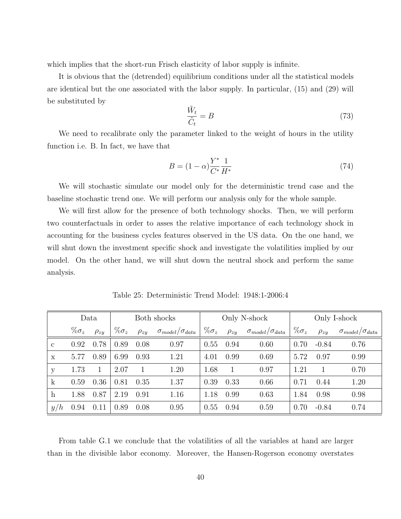which implies that the short-run Frisch elasticity of labor supply is infinite.

It is obvious that the (detrended) equilibrium conditions under all the statistical models are identical but the one associated with the labor supply. In particular, (15) and (29) will be substituted by

$$
\frac{\tilde{W}_t}{\tilde{C}_t} = B \tag{73}
$$

We need to recalibrate only the parameter linked to the weight of hours in the utility function i.e. B. In fact, we have that

$$
B = (1 - \alpha) \frac{Y^*}{C^*} \frac{1}{H^*}
$$
\n(74)

We will stochastic simulate our model only for the deterministic trend case and the baseline stochastic trend one. We will perform our analysis only for the whole sample.

We will first allow for the presence of both technology shocks. Then, we will perform two counterfactuals in order to asses the relative importance of each technology shock in accounting for the business cycles features observed in the US data. On the one hand, we will shut down the investment specific shock and investigate the volatilities implied by our model. On the other hand, we will shut down the neutral shock and perform the same analysis.

|                           | Data          |             |               |             | Both shocks                    |               |             | Only N-shock                   | Only I-shock  |             |                                |  |
|---------------------------|---------------|-------------|---------------|-------------|--------------------------------|---------------|-------------|--------------------------------|---------------|-------------|--------------------------------|--|
|                           | $\% \sigma_z$ | $\rho_{zy}$ | $\% \sigma_z$ | $\rho_{zy}$ | $\sigma_{model}/\sigma_{data}$ | $\% \sigma_z$ | $\rho_{zy}$ | $\sigma_{model}/\sigma_{data}$ | $\% \sigma_z$ | $\rho_{zy}$ | $\sigma_{model}/\sigma_{data}$ |  |
| $\mathbf{c}$              | 0.92          | 0.78        | 0.89          | 0.08        | 0.97                           | 0.55          | 0.94        | 0.60                           | 0.70          | $-0.84$     | 0.76                           |  |
| X                         | 5.77          | 0.89        | 6.99          | 0.93        | 1.21                           | 4.01          | 0.99        | 0.69                           | 5.72          | 0.97        | 0.99                           |  |
| у                         | 1.73          |             | 2.07          |             | 1.20                           | 1.68          |             | 0.97                           | 1.21          |             | 0.70                           |  |
| $\mathbf{k}$              | 0.59          | 0.36        | 0.81          | 0.35        | 1.37                           | 0.39          | 0.33        | 0.66                           | 0.71          | 0.44        | 1.20                           |  |
| $\boldsymbol{\mathrm{h}}$ | 1.88          | 0.87        | 2.19          | 0.91        | 1.16                           | 1.18          | 0.99        | 0.63                           | 1.84          | 0.98        | 0.98                           |  |
| y/h                       | 0.94          | 0.11        | 0.89          | 0.08        | 0.95                           | 0.55          | 0.94        | 0.59                           | 0.70          | $-0.84$     | 0.74                           |  |

Table 25: Deterministic Trend Model: 1948:1-2006:4

From table G.1 we conclude that the volatilities of all the variables at hand are larger than in the divisible labor economy. Moreover, the Hansen-Rogerson economy overstates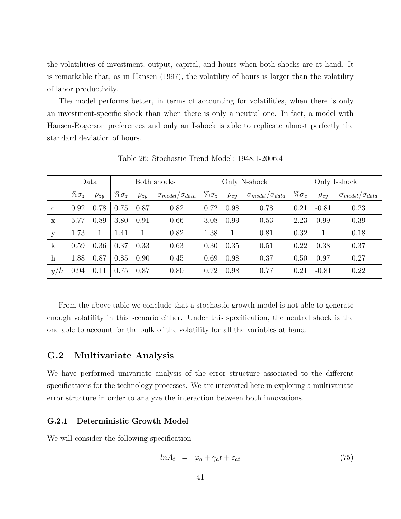the volatilities of investment, output, capital, and hours when both shocks are at hand. It is remarkable that, as in Hansen (1997), the volatility of hours is larger than the volatility of labor productivity.

The model performs better, in terms of accounting for volatilities, when there is only an investment-specific shock than when there is only a neutral one. In fact, a model with Hansen-Rogerson preferences and only an I-shock is able to replicate almost perfectly the standard deviation of hours.

|              | Data          |             | Both shocks   |             |                                | Only N-shock  |             |                                | Only I-shock  |              |                                |  |
|--------------|---------------|-------------|---------------|-------------|--------------------------------|---------------|-------------|--------------------------------|---------------|--------------|--------------------------------|--|
|              | $\% \sigma_z$ | $\rho_{zy}$ | $\% \sigma_z$ | $\rho_{zy}$ | $\sigma_{model}/\sigma_{data}$ | $\% \sigma_z$ | $\rho_{zy}$ | $\sigma_{model}/\sigma_{data}$ | $\% \sigma_z$ | $\rho_{zy}$  | $\sigma_{model}/\sigma_{data}$ |  |
| $\mathbf{c}$ | 0.92          | 0.78        | 0.75          | 0.87        | 0.82                           | 0.72          | 0.98        | 0.78                           | 0.21          | $-0.81$      | 0.23                           |  |
| $\mathbf{x}$ | 5.77          | 0.89        | 3.80          | 0.91        | 0.66                           | 3.08          | 0.99        | 0.53                           | 2.23          | 0.99         | 0.39                           |  |
| y            | 1.73          |             | 1.41          |             | 0.82                           | 1.38          | 1           | 0.81                           | 0.32          | $\mathbf{1}$ | 0.18                           |  |
| $\mathbf{k}$ | 0.59          | 0.36        | 0.37          | 0.33        | 0.63                           | 0.30          | 0.35        | 0.51                           | 0.22          | 0.38         | 0.37                           |  |
| $\mathbf{h}$ | 1.88          | 0.87        | 0.85          | 0.90        | 0.45                           | 0.69          | 0.98        | 0.37                           | 0.50          | 0.97         | 0.27                           |  |
| y/h          | 0.94          | 0.11        | 0.75          | 0.87        | 0.80                           | 0.72          | 0.98        | 0.77                           | 0.21          | $-0.81$      | 0.22                           |  |

Table 26: Stochastic Trend Model: 1948:1-2006:4

From the above table we conclude that a stochastic growth model is not able to generate enough volatility in this scenario either. Under this specification, the neutral shock is the one able to account for the bulk of the volatility for all the variables at hand.

### G.2 Multivariate Analysis

We have performed univariate analysis of the error structure associated to the different specifications for the technology processes. We are interested here in exploring a multivariate error structure in order to analyze the interaction between both innovations.

#### G.2.1 Deterministic Growth Model

We will consider the following specification

$$
ln A_t = \varphi_a + \gamma_a t + \varepsilon_{at} \tag{75}
$$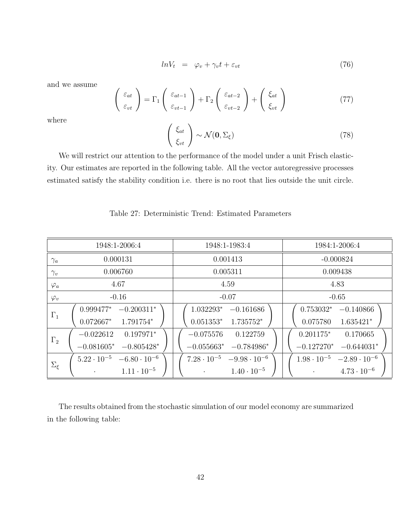$$
ln V_t = \varphi_v + \gamma_v t + \varepsilon_{vt} \tag{76}
$$

and we assume

$$
\begin{pmatrix} \varepsilon_{at} \\ \varepsilon_{vt} \end{pmatrix} = \Gamma_1 \begin{pmatrix} \varepsilon_{at-1} \\ \varepsilon_{vt-1} \end{pmatrix} + \Gamma_2 \begin{pmatrix} \varepsilon_{at-2} \\ \varepsilon_{vt-2} \end{pmatrix} + \begin{pmatrix} \xi_{at} \\ \xi_{vt} \end{pmatrix}
$$
(77)

where

$$
\begin{pmatrix} \xi_{at} \\ \xi_{vt} \end{pmatrix} \sim \mathcal{N}(\mathbf{0}, \Sigma_{\xi})
$$
\n(78)

We will restrict our attention to the performance of the model under a unit Frisch elasticity. Our estimates are reported in the following table. All the vector autoregressive processes estimated satisfy the stability condition i.e. there is no root that lies outside the unit circle.

### Table 27: Deterministic Trend: Estimated Parameters

|                | 1948:1-2006:4                                 | 1948:1-1983:4                                 | 1984:1-2006:4                              |  |  |  |  |
|----------------|-----------------------------------------------|-----------------------------------------------|--------------------------------------------|--|--|--|--|
| $\gamma_a$     | 0.000131                                      | 0.001413                                      | $-0.000824$                                |  |  |  |  |
| $\gamma_v$     | 0.006760                                      | 0.005311                                      | 0.009438                                   |  |  |  |  |
| $\varphi_a$    | 4.67                                          | 4.59                                          | 4.83                                       |  |  |  |  |
| $\varphi_v$    | $-0.16$                                       | $-0.07$                                       | $-0.65$                                    |  |  |  |  |
| $\Gamma_1$     | $-0.200311*$<br>$0.999477*$                   | 1.032293*<br>$-0.161686$                      | $0.753032*$<br>$-0.140866$                 |  |  |  |  |
|                | $0.072667*$<br>1.791754*                      | $0.051353*$<br>$1.735752*$                    | $1.635421*$<br>0.075780                    |  |  |  |  |
| $\Gamma_2$     | $0.197971*$<br>$-0.022612$                    | $-0.075576$<br>0.122759                       | $0.201175*$<br>0.170665                    |  |  |  |  |
|                | $-0.081605*$<br>$-0.805428*$                  | $-0.055663*$<br>$-0.784986*$                  | $-0.127270*$<br>$-0.644031*$               |  |  |  |  |
|                | $5.22 \cdot 10^{-5}$<br>$-6.80 \cdot 10^{-6}$ | $7.28 \cdot 10^{-5}$<br>$-9.98 \cdot 10^{-6}$ | $1.98 \cdot 10^{-5}$ $-2.89 \cdot 10^{-6}$ |  |  |  |  |
| $\Sigma_{\xi}$ | $1.11 \cdot 10^{-5}$                          | $1.40 \cdot 10^{-5}$                          | $4.73 \cdot 10^{-6}$                       |  |  |  |  |

The results obtained from the stochastic simulation of our model economy are summarized in the following table: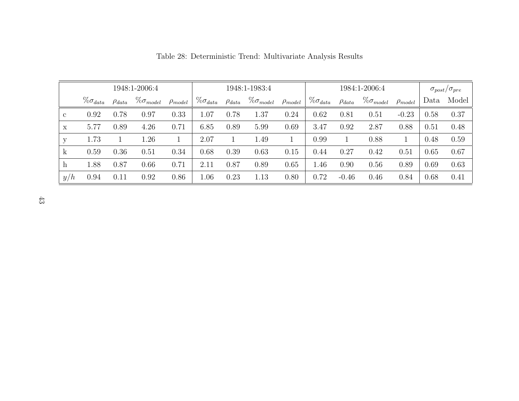|              | 1948:1-2006:4      |               |                     |                |                    | 1948:1-1983:4 |                     |                |                    | 1984:1-2006:4 |                     |                |      | $\sigma_{post}/\sigma_{pre}$ |  |
|--------------|--------------------|---------------|---------------------|----------------|--------------------|---------------|---------------------|----------------|--------------------|---------------|---------------------|----------------|------|------------------------------|--|
|              | $\% \sigma_{data}$ | $\rho_{data}$ | $\% \sigma_{model}$ | $\rho_{model}$ | $\% \sigma_{data}$ | $\rho_{data}$ | $\% \sigma_{model}$ | $\rho_{model}$ | $\% \sigma_{data}$ | $\rho_{data}$ | $\% \sigma_{model}$ | $\rho_{model}$ | Data | Model                        |  |
| $\mathbf{c}$ | 0.92               | 0.78          | 0.97                | 0.33           | $1.07\,$           | 0.78          | 1.37                | 0.24           | 0.62               | 0.81          | 0.51                | $-0.23$        | 0.58 | 0.37                         |  |
| X            | 5.77               | 0.89          | 4.26                | 0.71           | 6.85               | 0.89          | 5.99                | 0.69           | 3.47               | 0.92          | 2.87                | 0.88           | 0.51 | 0.48                         |  |
| у            | 1.73               |               | 1.26                |                | 2.07               |               | 1.49                |                | 0.99               |               | 0.88                |                | 0.48 | 0.59                         |  |
| k            | 0.59               | 0.36          | 0.51                | 0.34           | 0.68               | 0.39          | 0.63                | 0.15           | 0.44               | 0.27          | 0.42                | 0.51           | 0.65 | 0.67                         |  |
| h            | 1.88               | 0.87          | 0.66                | 0.71           | $2.11\,$           | 0.87          | 0.89                | 0.65           | 1.46               | 0.90          | 0.56                | 0.89           | 0.69 | 0.63                         |  |
| y/h          | 0.94               | 0.11          | 0.92                | 0.86           | 1.06               | 0.23          | 1.13                | 0.80           | 0.72               | $-0.46$       | 0.46                | 0.84           | 0.68 | 0.41                         |  |

Table 28: Deterministic Trend: Multivariate Analysis Results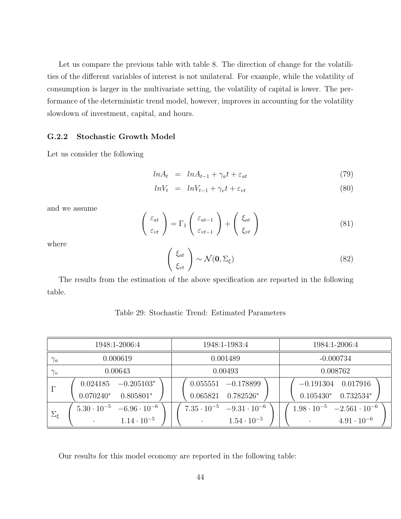Let us compare the previous table with table 8. The direction of change for the volatilities of the different variables of interest is not unilateral. For example, while the volatility of consumption is larger in the multivariate setting, the volatility of capital is lower. The performance of the deterministic trend model, however, improves in accounting for the volatility slowdown of investment, capital, and hours.

#### G.2.2 Stochastic Growth Model

Let us consider the following

$$
ln A_t = ln A_{t-1} + \gamma_a t + \varepsilon_{at} \tag{79}
$$

$$
lnV_t = lnV_{t-1} + \gamma_v t + \varepsilon_{vt}
$$
\n
$$
(80)
$$

and we assume

$$
\begin{pmatrix} \varepsilon_{at} \\ \varepsilon_{vt} \end{pmatrix} = \Gamma_1 \begin{pmatrix} \varepsilon_{at-1} \\ \varepsilon_{vt-1} \end{pmatrix} + \begin{pmatrix} \xi_{at} \\ \xi_{vt} \end{pmatrix}
$$
 (81)

where

$$
\begin{pmatrix} \xi_{at} \\ \xi_{vt} \end{pmatrix} \sim \mathcal{N}(\mathbf{0}, \Sigma_{\xi})
$$
 (82)

The results from the estimation of the above specification are reported in the following table.

| Table 29: Stochastic Trend: Estimated Parameters |  |
|--------------------------------------------------|--|
|--------------------------------------------------|--|

|                | 1948:1-2006:4                                 | 1948:1-1983:4                              | 1984:1-2006:4                               |  |  |  |  |
|----------------|-----------------------------------------------|--------------------------------------------|---------------------------------------------|--|--|--|--|
| $\gamma_a$     | 0.000619                                      | 0.001489                                   | $-0.000734$                                 |  |  |  |  |
| $\gamma_v$     | 0.00643                                       | 0.00493                                    | 0.008762                                    |  |  |  |  |
| $\Gamma$       | $-0.205103*$<br>0.024185                      | $-0.178899$<br>0.055551                    | $-0.191304$<br>0.017916                     |  |  |  |  |
|                | $0.805801*$<br>$0.070240*$                    | $0.782526*$<br>0.065821                    | $0.732534*$<br>$0.105430*$                  |  |  |  |  |
| $\Sigma_{\xi}$ | $5.30 \cdot 10^{-5}$<br>$-6.96 \cdot 10^{-6}$ | $7.35 \cdot 10^{-5}$ $-9.31 \cdot 10^{-6}$ | $1.98 \cdot 10^{-5}$ $-2.561 \cdot 10^{-6}$ |  |  |  |  |
|                | $1.14 \cdot 10^{-5}$<br>$\bullet$             | $1.54 \cdot 10^{-5}$                       | $4.91 \cdot 10^{-6}$<br>$\bullet$           |  |  |  |  |

Our results for this model economy are reported in the following table: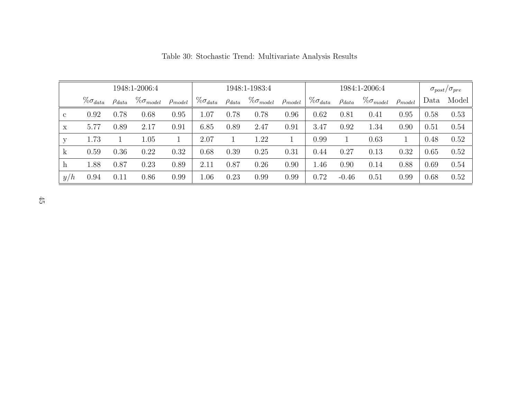|              |                    | 1948:1-2006:4 | 1948:1-1983:4       |                |                    |               | 1984:1-2006:4       |                |                    |               | $\sigma_{post}/\sigma_{pre}$ |                |      |       |
|--------------|--------------------|---------------|---------------------|----------------|--------------------|---------------|---------------------|----------------|--------------------|---------------|------------------------------|----------------|------|-------|
|              | $\% \sigma_{data}$ | $\rho_{data}$ | $\% \sigma_{model}$ | $\rho_{model}$ | $\% \sigma_{data}$ | $\rho_{data}$ | $\% \sigma_{model}$ | $\rho_{model}$ | $\% \sigma_{data}$ | $\rho_{data}$ | $\% \sigma_{model}$          | $\rho_{model}$ | Data | Model |
| $\mathbf{c}$ | 0.92               | 0.78          | 0.68                | 0.95           | $1.07\,$           | 0.78          | 0.78                | 0.96           | 0.62               | 0.81          | 0.41                         | 0.95           | 0.58 | 0.53  |
| X            | 5.77               | 0.89          | 2.17                | 0.91           | 6.85               | 0.89          | 2.47                | 0.91           | 3.47               | 0.92          | 1.34                         | 0.90           | 0.51 | 0.54  |
| у            | 1.73               |               | 1.05                |                | 2.07               |               | 1.22                |                | 0.99               |               | 0.63                         |                | 0.48 | 0.52  |
| k            | 0.59               | 0.36          | 0.22                | 0.32           | 0.68               | 0.39          | 0.25                | 0.31           | 0.44               | 0.27          | 0.13                         | 0.32           | 0.65 | 0.52  |
| h            | 1.88               | 0.87          | 0.23                | 0.89           | 2.11               | 0.87          | 0.26                | 0.90           | 1.46               | 0.90          | 0.14                         | 0.88           | 0.69 | 0.54  |
| y/h          | 0.94               | 0.11          | 0.86                | 0.99           | 1.06               | 0.23          | 0.99                | 0.99           | 0.72               | $-0.46$       | 0.51                         | 0.99           | 0.68 | 0.52  |

Table 30: Stochastic Trend: Multivariate Analysis Results